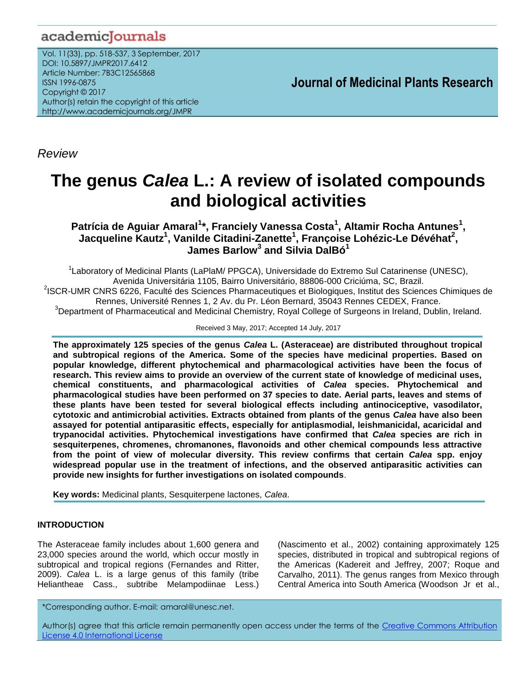# academicJournals

Vol. 11(33), pp. 518-537, 3 September, 2017 DOI: 10.5897/JMPR2017.6412 Article Number: 7B3C12565868 ISSN 1996-0875 Copyright © 2017 Author(s) retain the copyright of this article http://www.academicjournals.org/JMPR

 **Journal of Medicinal Plants Research**

*Review*

# **The genus** *Calea* **L.: A review of isolated compounds and biological activities**

**Patrícia de Aguiar Amaral<sup>1</sup> \*, Franciely Vanessa Costa<sup>1</sup> , Altamir Rocha Antunes<sup>1</sup> , Jacqueline Kautz<sup>1</sup> , Vanilde Citadini-Zanette<sup>1</sup> , Françoise Lohézic-Le Dévéhat<sup>2</sup> , James Barlow<sup>3</sup> and Silvia DalBó<sup>1</sup>**

<sup>1</sup> Laboratory of Medicinal Plants (LaPlaM/ PPGCA), Universidade do Extremo Sul Catarinense (UNESC), Avenida Universitária 1105, Bairro Universitário, 88806-000 Criciúma, SC, Brazil. <sup>2</sup>ISCR-UMR CNRS 6226, Faculté des Sciences Pharmaceutiques et Biologiques, Institut des Sciences Chimiques de Rennes, Université Rennes 1, 2 Av. du Pr. Léon Bernard, 35043 Rennes CEDEX, France. <sup>3</sup>Department of Pharmaceutical and Medicinal Chemistry, Royal College of Surgeons in Ireland, Dublin, Ireland.

Received 3 May, 2017; Accepted 14 July, 2017

**The approximately 125 species of the genus** *Calea* **L. (Asteraceae) are distributed throughout tropical and subtropical regions of the America. Some of the species have medicinal properties. Based on popular knowledge, different phytochemical and pharmacological activities have been the focus of research. This review aims to provide an overview of the current state of knowledge of medicinal uses, chemical constituents, and pharmacological activities of** *Calea* **species. Phytochemical and pharmacological studies have been performed on 37 species to date. Aerial parts, leaves and stems of these plants have been tested for several biological effects including antinociceptive, vasodilator, cytotoxic and antimicrobial activities. Extracts obtained from plants of the genus** *Calea* **have also been assayed for potential antiparasitic effects, especially for antiplasmodial, leishmanicidal, acaricidal and trypanocidal activities. Phytochemical investigations have confirmed that** *Calea* **species are rich in sesquiterpenes, chromenes, chromanones, flavonoids and other chemical compounds less attractive from the point of view of molecular diversity. This review confirms that certain** *Calea* **spp. enjoy widespread popular use in the treatment of infections, and the observed antiparasitic activities can provide new insights for further investigations on isolated compounds**.

**Key words:** Medicinal plants, Sesquiterpene lactones, *Calea*.

# **INTRODUCTION**

The Asteraceae family includes about 1,600 genera and 23,000 species around the world, which occur mostly in subtropical and tropical regions (Fernandes and Ritter, 2009). *Calea* L. is a large genus of this family (tribe Heliantheae Cass., subtribe Melampodiinae Less.) (Nascimento et al., 2002) containing approximately 125 species, distributed in tropical and subtropical regions of the Americas (Kadereit and Jeffrey, 2007; Roque and Carvalho, 2011). The genus ranges from Mexico through Central America into South America (Woodson Jr et al.,

\*Corresponding author. E-mail: amaral@unesc.net.

Author(s) agree that this article remain permanently open access under the terms of the Creative Commons Attribution License 4.0 [International](http://creativecommons.org/licenses/by/4.0/deed.en_US) License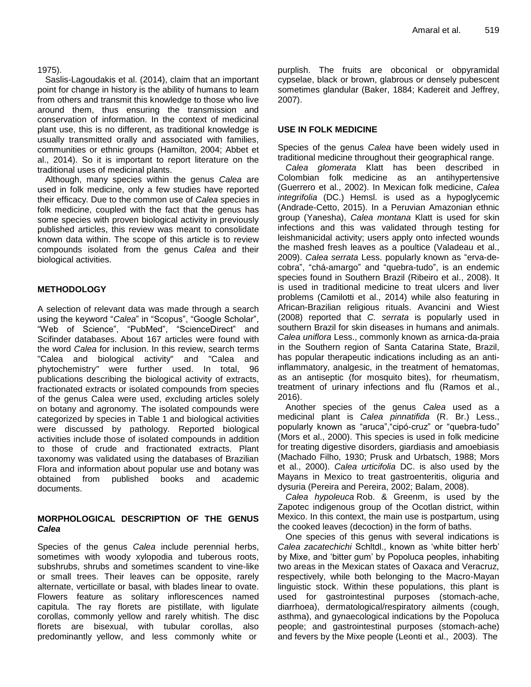#### 1975).

Saslis-Lagoudakis et al. (2014), claim that an important point for change in history is the ability of humans to learn from others and transmit this knowledge to those who live around them, thus ensuring the transmission and conservation of information. In the context of medicinal plant use, this is no different, as traditional knowledge is usually transmitted orally and associated with families, communities or ethnic groups (Hamilton, 2004; Abbet et al., 2014). So it is important to report literature on the traditional uses of medicinal plants.

Although, many species within the genus *Calea* are used in folk medicine, only a few studies have reported their efficacy. Due to the common use of *Calea* species in folk medicine, coupled with the fact that the genus has some species with proven biological activity in previously published articles, this review was meant to consolidate known data within. The scope of this article is to review compounds isolated from the genus *Calea* and their biological activities.

# **METHODOLOGY**

A selection of relevant data was made through a search using the keyword "*Calea*" in "Scopus", "Google Scholar", "Web of Science", "PubMed", "ScienceDirect" and Scifinder databases. About 167 articles were found with the word *Calea* for inclusion. In this review, search terms "Calea and biological activity" and "Calea and phytochemistry*"* were further used. In total, 96 publications describing the biological activity of extracts, fractionated extracts or isolated compounds from species of the genus Calea were used, *e*xcluding articles solely on botany and agronomy. The isolated compounds were categorized by species in Table 1 and biological activities were discussed by pathology. Reported biological activities include those of isolated compounds in addition to those of crude and fractionated extracts. Plant taxonomy was validated using the databases of Brazilian Flora and information about popular use and botany was obtained from published books and academic documents.

# **MORPHOLOGICAL DESCRIPTION OF THE GENUS**  *Calea*

Species of the genus *Calea* include perennial herbs, sometimes with woody xylopodia and tuberous roots, subshrubs, shrubs and sometimes scandent to vine-like or small trees. Their leaves can be opposite, rarely alternate, verticillate or basal, with blades linear to ovate. Flowers feature as solitary inflorescences named capitula. The ray florets are pistillate, with ligulate corollas, commonly yellow and rarely whitish. The disc florets are bisexual, with tubular corollas, also predominantly yellow, and less commonly white or

purplish. The fruits are obconical or obpyramidal cypselae, black or brown, glabrous or densely pubescent sometimes glandular (Baker, 1884; Kadereit and Jeffrey, 2007).

# **USE IN FOLK MEDICINE**

Species of the genus *Calea* have been widely used in traditional medicine throughout their geographical range.

*Calea glomerata* Klatt has been described in Colombian folk medicine as an antihypertensive (Guerrero et al., 2002). In Mexican folk medicine, *Calea integrifolia* (DC.) Hemsl. is used as a hypoglycemic (Andrade-Cetto, 2015). In a Peruvian Amazonian ethnic group (Yanesha), *Calea montana* Klatt is used for skin infections and this was validated through testing for leishmanicidal activity; users apply onto infected wounds the mashed fresh leaves as a poultice (Valadeau et al., 2009). *Calea serrata* Less. popularly known as "erva-decobra", "chá-amargo" and "quebra-tudo", is an endemic species found in Southern Brazil (Ribeiro et al., 2008). It is used in traditional medicine to treat ulcers and liver problems (Camilotti et al., 2014) while also featuring in African-Brazilian religious rituals. Avancini and Wiest (2008) reported that *C. serrata* is popularly used in southern Brazil for skin diseases in humans and animals. *Calea uniflora* Less., commonly known as arnica-da-praia in the Southern region of Santa Catarina State, Brazil, has popular therapeutic indications including as an antiinflammatory, analgesic, in the treatment of hematomas, as an antiseptic (for mosquito bites), for rheumatism, treatment of urinary infections and flu (Ramos et al., 2016).

Another species of the genus *Calea* used as a medicinal plant is *Calea pinnatifida* (R. Br.) Less., popularly known as "aruca","cipó-cruz" or "quebra-tudo" (Mors et al., 2000). This species is used in folk medicine for treating digestive disorders, giardiasis and amoebiasis (Machado Filho, 1930; Prusk and Urbatsch, 1988; Mors et al., 2000). *Calea urticifolia* DC. is also used by the Mayans in Mexico to treat gastroenteritis, oliguria and dysuria (Pereira and Pereira, 2002; Balam, 2008).

*Calea hypoleuca* Rob. & Greenm, is used by the Zapotec indigenous group of the Ocotlan district, within Mexico. In this context, the main use is postpartum, using the cooked leaves (decoction) in the form of baths.

One species of this genus with several indications is *Calea zacatechichi* Schltdl., known as "white bitter herb" by Mixe, and "bitter gum" by Popoluca peoples, inhabiting two areas in the Mexican states of Oaxaca and Veracruz, respectively, while both belonging to the Macro-Mayan linguistic stock. Within these populations, this plant is used for gastrointestinal purposes (stomach-ache, diarrhoea), dermatological/respiratory ailments (cough, asthma), and gynaecological indications by the Popoluca people; and gastrointestinal purposes (stomach-ache) and fevers by the Mixe people (Leonti et al., 2003). The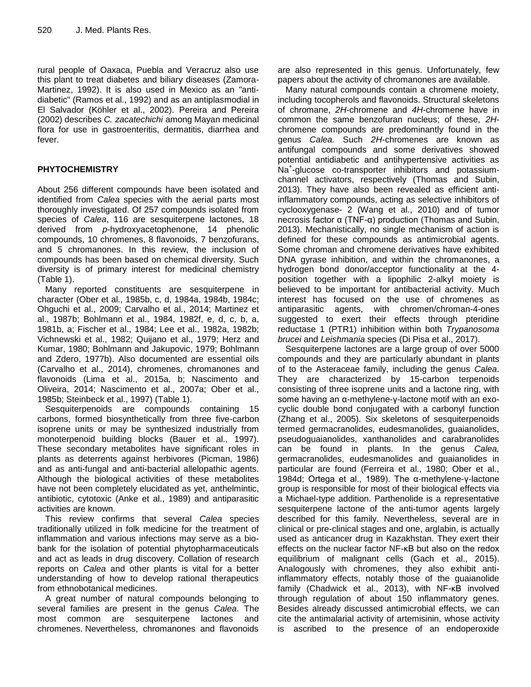rural people of Oaxaca, Puebla and Veracruz also use this plant to treat diabetes and biliary diseases (Zamora-Martinez, 1992). It is also used in Mexico as an "antidiabetic" (Ramos et al., 1992) and as an antiplasmodial in El Salvador (Köhler et al., 2002). Pereira and Pereira (2002) describes *C. zacatechichi* among Mayan medicinal flora for use in gastroenteritis, dermatitis, diarrhea and fever.

# **PHYTOCHEMISTRY**

About 256 different compounds have been isolated and identified from *Calea* species with the aerial parts most thoroughly investigated. Of 257 compounds isolated from species of *Calea*, 116 are sesquiterpene lactones, 18 derived from *p*-hydroxyacetophenone, 14 phenolic compounds, 10 chromenes, 8 flavonoids, 7 benzofurans, and 5 chromanones. In this review, the inclusion of compounds has been based on chemical diversity. Such diversity is of primary interest for medicinal chemistry (Table 1).

Many reported constituents are sesquiterpene in character (Ober et al., 1985b, c, d, 1984a, 1984b, 1984c; Ohguchi et al., 2009; Carvalho et al., 2014; Martinez et al., 1987b; Bohlmann et al., 1984, 1982f, e, d, c, b, a, 1981b, a; Fischer et al., 1984; Lee et al., 1982a, 1982b; Vichnewski et al., 1982; Quijano et al., 1979; Herz and Kumar, 1980; Bohlmann and Jakupovic, 1979; Bohlmann and Zdero, 1977b). Also documented are essential oils (Carvalho et al., 2014), chromenes, chromanones and flavonoids (Lima et al., 2015a, b; Nascimento and Oliveira, 2014; Nascimento et al., 2007a; Ober et al., 1985b; Steinbeck et al., 1997) (Table 1).

Sesquiterpenoids are compounds containing 15 carbons, formed biosynthetically from three five-carbon isoprene units or may be synthesized industrially from monoterpenoid building blocks (Bauer et al., 1997). These secondary metabolites have significant roles in plants as deterrents against herbivores (Picman, 1986) and as anti-fungal and anti-bacterial allelopathic agents. Although the biological activities of these metabolites have not been completely elucidated as yet, anthelmintic, antibiotic, cytotoxic (Anke et al., 1989) and antiparasitic activities are known.

This review confirms that several *Calea* species traditionally utilized in folk medicine for the treatment of inflammation and various infections may serve as a biobank for the isolation of potential phytopharmaceuticals and act as leads in drug discovery. Collation of research reports on *Calea* and other plants is vital for a better understanding of how to develop rational therapeutics from ethnobotanical medicines.

A great number of natural compounds belonging to several families are present in the genus *Calea*. The most common are sesquiterpene lactones and chromenes. Nevertheless, chromanones and flavonoids

are also represented in this genus. Unfortunately, few papers about the activity of chromanones are available.

Many natural compounds contain a chromene moiety, including tocopherols and flavonoids. Structural skeletons of chromane, *2H*-chromene and *4H*-chromene have in common the same benzofuran nucleus; of these, *2H*chromene compounds are predominantly found in the genus *Calea.* Such *2H*-chromenes are known as antifungal compounds and some derivatives showed potential antidiabetic and antihypertensive activities as .<br>Na<sup>+</sup>-glucose co-transporter inhibitors and potassiumchannel activators, respectively (Thomas and Subin, 2013). They have also been revealed as efficient antiinflammatory compounds, acting as selective inhibitors of cyclooxygenase- 2 (Wang et al., 2010) and of tumor necrosis factor α (TNF-α) production (Thomas and Subin, 2013). Mechanistically, no single mechanism of action is defined for these compounds as antimicrobial agents. Some chroman and chromene derivatives have exhibited DNA gyrase inhibition, and within the chromanones, a hydrogen bond donor/acceptor functionality at the 4 position together with a lipophilic 2-alkyl moiety is believed to be important for antibacterial activity. Much interest has focused on the use of chromenes as antiparasitic agents, with chromen/chroman-4-ones suggested to exert their effects through pteridine reductase 1 (PTR1) inhibition within both *Trypanosoma brucei* and *Leishmania* species (Di Pisa et al., 2017).

Sesquiterpene lactones are a large group of over 5000 compounds and they are particularly abundant in plants of to the Asteraceae family, including the genus *Calea*. They are characterized by 15-carbon terpenoids consisting of three isoprene units and a lactone ring, with some having an α-methylene-γ-lactone motif with an exocyclic double bond conjugated with a carbonyl function (Zhang et al., 2005). Six skeletons of sesquiterpenoids termed germacranolides, eudesmanolides, guaianolides, pseudoguaianolides, xanthanolides and carabranolides can be found in plants. In the genus *Calea,* germacranolides, eudesmanolides and guaianolides in particular are found (Ferreira et al., 1980; Ober et al., 1984d; Ortega et al., 1989). The α-methylene-γ-lactone group is responsible for most of their biological effects via a Michael-type addition. Parthenolide is a representative sesquiterpene lactone of the anti-tumor agents largely described for this family. Nevertheless, several are in clinical or pre-clinical stages and one, arglabin, is actually used as anticancer drug in Kazakhstan. They exert their effects on the nuclear factor NF-κB but also on the redox equilibrium of malignant cells (Gach et al., 2015). Analogously with chromenes, they also exhibit antiinflammatory effects, notably those of the guaianolide family (Chadwick et al., 2013), with NF-κB involved through regulation of about 150 inflammatory genes. Besides already discussed antimicrobial effects, we can cite the antimalarial activity of artemisinin, whose activity is ascribed to the presence of an endoperoxide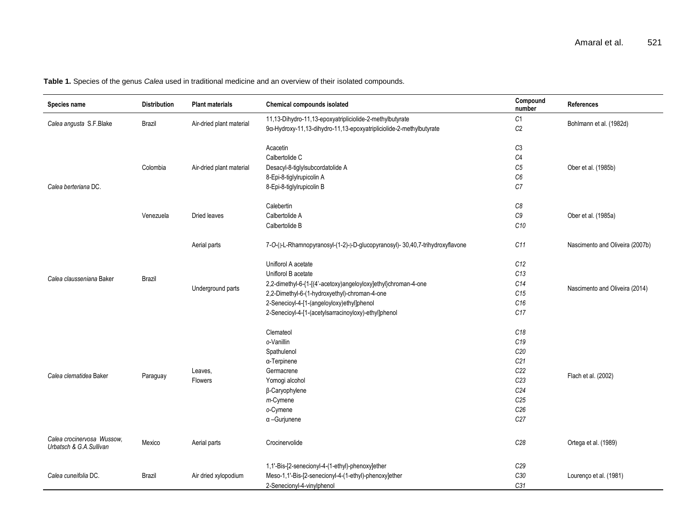**Table 1.** Species of the genus *Calea* used in traditional medicine and an overview of their isolated compounds.

| Species name                                          | <b>Distribution</b> | <b>Plant materials</b>   | Chemical compounds isolated                                                   | Compound<br>number   | <b>References</b>               |
|-------------------------------------------------------|---------------------|--------------------------|-------------------------------------------------------------------------------|----------------------|---------------------------------|
| Calea angusta S.F.Blake                               | Brazil              | Air-dried plant material | 11,13-Dihydro-11,13-epoxyatripliciolide-2-methylbutyrate                      | C1                   | Bohlmann et al. (1982d)         |
|                                                       |                     |                          | 9a-Hydroxy-11,13-dihydro-11,13-epoxyatripliciolide-2-methylbutyrate           | $\mathbb{C}2$        |                                 |
|                                                       |                     |                          |                                                                               |                      |                                 |
|                                                       |                     |                          | Acacetin<br>Calbertolide C                                                    | C <sub>3</sub>       |                                 |
|                                                       | Colombia            |                          |                                                                               | C <sub>4</sub><br>C5 |                                 |
|                                                       |                     | Air-dried plant material | Desacyl-8-tiglylsubcordatolide A                                              | C6                   | Ober et al. (1985b)             |
| Calea berteriana DC.                                  |                     |                          | 8-Epi-8-tiglylrupicolin A<br>8-Epi-8-tiglylrupicolin B                        | C <sub>7</sub>       |                                 |
|                                                       |                     |                          |                                                                               |                      |                                 |
|                                                       |                     |                          | Calebertin                                                                    | C8                   |                                 |
|                                                       | Venezuela           | Dried leaves             | Calbertolide A                                                                | $C9$                 | Ober et al. (1985a)             |
|                                                       |                     |                          | Calbertolide B                                                                | C <sub>10</sub>      |                                 |
|                                                       |                     | Aerial parts             | 7-O-(I-L-Rhamnopyranosyl-(1-2)-I-D-glucopyranosyl)- 30,40,7-trihydroxyflavone | C11                  | Nascimento and Oliveira (2007b) |
|                                                       | <b>Brazil</b>       |                          | Uniflorol A acetate                                                           | C12                  |                                 |
|                                                       |                     | Underground parts        | Uniflorol B acetate                                                           | C13                  |                                 |
| Calea clausseniana Baker                              |                     |                          | 2,2-dimethyl-6-{1-[(4'-acetoxy)angeloyloxy]ethyl}chroman-4-one                | C14                  |                                 |
|                                                       |                     |                          | 2,2-Dimethyl-6-(1-hydroxyethyl)-chroman-4-one                                 | C15                  | Nascimento and Oliveira (2014)  |
|                                                       |                     |                          | 2-Senecioyl-4-[1-(angeloyloxy)ethyl]phenol                                    | C16                  |                                 |
|                                                       |                     |                          | 2-Senecioyl-4-[1-(acetylsarracinoyloxy)-ethyl]phenol                          | C17                  |                                 |
|                                                       |                     |                          |                                                                               |                      |                                 |
|                                                       |                     |                          | Clemateol                                                                     | C18                  |                                 |
|                                                       |                     |                          | o-Vanillin                                                                    | C <sub>19</sub>      |                                 |
|                                                       |                     |                          | Spathulenol                                                                   | C <sub>20</sub>      |                                 |
|                                                       |                     |                          | α-Terpinene                                                                   | C <sub>21</sub>      |                                 |
| Calea clematidea Baker                                | Paraguay            | Leaves,                  | Germacrene                                                                    | C22                  | Flach et al. (2002)             |
|                                                       |                     | Flowers                  | Yomogi alcohol                                                                | C <sub>23</sub>      |                                 |
|                                                       |                     |                          | β-Caryophylene                                                                | C <sub>24</sub>      |                                 |
|                                                       |                     |                          | $m$ -Cymene                                                                   | C <sub>25</sub>      |                                 |
|                                                       |                     |                          | o-Cymene                                                                      | C <sub>26</sub>      |                                 |
|                                                       |                     |                          | $\alpha$ -Gurjunene                                                           | C <sub>27</sub>      |                                 |
| Calea crocinervosa Wussow,<br>Urbatsch & G.A.Sullivan | Mexico              | Aerial parts             | Crocinervolide                                                                | C28                  | Ortega et al. (1989)            |
|                                                       |                     |                          | 1,1'-Bis-[2-senecionyl-4-(1-ethyl)-phenoxy]ether                              | C <sub>29</sub>      |                                 |
| Calea cuneifolia DC.                                  | Brazil              | Air dried xylopodium     | Meso-1,1'-Bis-[2-senecionyl-4-(1-ethyl)-phenoxy]ether                         | C30                  | Lourenço et al. (1981)          |
|                                                       |                     |                          | 2-Senecionyl-4-vinylphenol                                                    | C31                  |                                 |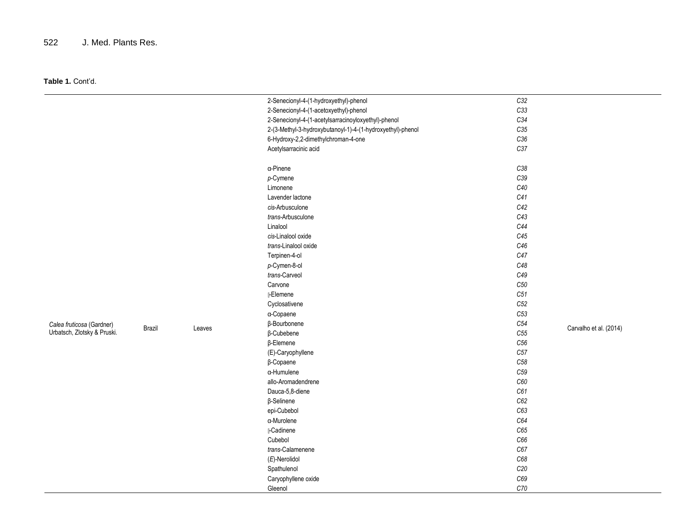# 522 J. Med. Plants Res.

|                             |        |        | 2-Senecionyl-4-(1-hydroxyethyl)-phenol                     | C32             |                        |
|-----------------------------|--------|--------|------------------------------------------------------------|-----------------|------------------------|
|                             |        |        | 2-Senecionyl-4-(1-acetoxyethyl)-phenol                     | C33             |                        |
|                             |        |        | 2-Senecionyl-4-(1-acetylsarracinoyloxyethyl)-phenol        | $C34\,$         |                        |
|                             |        |        | 2-(3-Methyl-3-hydroxybutanoyl-1)-4-(1-hydroxyethyl)-phenol | C35             |                        |
|                             |        |        | 6-Hydroxy-2,2-dimethylchroman-4-one                        | $C36\,$         |                        |
|                             |        |        | Acetylsarracinic acid                                      | C37             |                        |
|                             |        |        |                                                            |                 |                        |
|                             |        |        | a-Pinene                                                   | C38             |                        |
|                             |        |        | $p$ -Cymene                                                | C39             |                        |
|                             |        |        | Limonene                                                   | C40             |                        |
|                             |        |        | Lavender lactone                                           | C41             |                        |
|                             |        |        | cis-Arbusculone                                            | C42             |                        |
|                             |        |        | trans-Arbusculone                                          | C43             |                        |
|                             |        |        | Linalool                                                   | C44             |                        |
|                             |        |        | cis-Linalool oxide                                         | C45             |                        |
|                             |        |        | trans-Linalool oxide                                       | C46             |                        |
|                             |        |        | Terpinen-4-ol                                              | C47             |                        |
|                             |        |        | p-Cymen-8-ol                                               | C48             |                        |
|                             |        |        | trans-Carveol                                              | C49             |                        |
|                             |        |        | Carvone                                                    | C <sub>50</sub> |                        |
|                             |        |        | [-Elemene                                                  | C51             |                        |
|                             |        |        | Cyclosativene                                              | C52             |                        |
|                             |        |        | a-Copaene                                                  | C53             |                        |
| Calea fruticosa (Gardner)   |        |        | β-Bourbonene                                               | ${\it C54}$     |                        |
| Urbatsch, Zlotsky & Pruski. | Brazil | Leaves | $\beta$ -Cubebene                                          | C55             | Carvalho et al. (2014) |
|                             |        |        | $\beta$ -Elemene                                           | ${\it C56}$     |                        |
|                             |        |        | (E)-Caryophyllene                                          | C57             |                        |
|                             |        |        | $\beta$ -Copaene                                           | ${\it C58}$     |                        |
|                             |        |        | a-Humulene                                                 | C <sub>59</sub> |                        |
|                             |        |        | allo-Aromadendrene                                         | $C60\,$         |                        |
|                             |        |        | Dauca-5,8-diene                                            | C61             |                        |
|                             |        |        | $\beta$ -Selinene                                          | C62             |                        |
|                             |        |        | epi-Cubebol                                                | C63             |                        |
|                             |        |        | a-Murolene                                                 | C64             |                        |
|                             |        |        | [-Cadinene                                                 | C65             |                        |
|                             |        |        | Cubebol                                                    | C66             |                        |
|                             |        |        | trans-Calamenene                                           | C67             |                        |
|                             |        |        | $(E)$ -Nerolidol                                           | C68             |                        |
|                             |        |        | Spathulenol                                                | C20             |                        |
|                             |        |        | Caryophyllene oxide                                        | C69             |                        |
|                             |        |        | Gleenol                                                    | C70             |                        |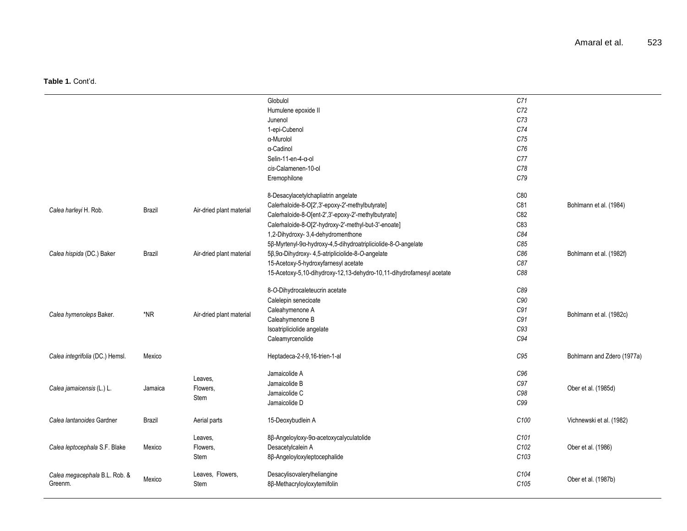|                                 |               |                          | Globulol                                                              | C71              |                            |
|---------------------------------|---------------|--------------------------|-----------------------------------------------------------------------|------------------|----------------------------|
|                                 |               |                          | Humulene epoxide II                                                   | C72              |                            |
|                                 |               |                          | Junenol                                                               | C73              |                            |
|                                 |               |                          | 1-epi-Cubenol                                                         | C74              |                            |
|                                 |               |                          | a-Murolol                                                             | C75              |                            |
|                                 |               |                          | a-Cadinol                                                             | C76              |                            |
|                                 |               |                          | Selin-11-en-4-a-ol                                                    | C77              |                            |
|                                 |               |                          | cis-Calamenen-10-ol                                                   | C78              |                            |
|                                 |               |                          | Eremophilone                                                          | C79              |                            |
|                                 |               |                          |                                                                       |                  |                            |
|                                 |               |                          | 8-Desacylacetylchapliatrin angelate                                   | C80              |                            |
|                                 |               |                          | Calerhaloide-8-O[2',3'-epoxy-2'-methylbutyrate]                       | C81              | Bohlmann et al. (1984)     |
| Calea harleyi H. Rob.           | <b>Brazil</b> | Air-dried plant material | Calerhaloide-8-O[ent-2',3'-epoxy-2'-methylbutyrate]                   | C82              |                            |
|                                 |               |                          | Calerhaloide-8-O[2'-hydroxy-2'-methyl-but-3'-enoate]                  | C83              |                            |
|                                 |               |                          | 1,2-Dihydroxy-3,4-dehydromenthone                                     | C84              |                            |
|                                 |               |                          | 5β-Myrtenyl-9α-hydroxy-4,5-dihydroatripliciolide-8-O-angelate         | C85              |                            |
| Calea hispida (DC.) Baker       | Brazil        | Air-dried plant material | 5β,9α-Dihydroxy- 4,5-atripliciolide-8-O-angelate                      | C86              | Bohlmann et al. (1982f)    |
|                                 |               |                          | 15-Acetoxy-5-hydroxyfarnesyl acetate                                  | C87              |                            |
|                                 |               |                          | 15-Acetoxy-5,10-dihydroxy-12,13-dehydro-10,11-dihydrofarnesyl acetate | C88              |                            |
|                                 |               |                          | 8-O-Dihydrocaleteucrin acetate                                        | C89              |                            |
|                                 | $*NR$         | Air-dried plant material | Calelepin senecioate                                                  | C90              |                            |
|                                 |               |                          | Caleahymenone A                                                       | C91              |                            |
| Calea hymenoleps Baker.         |               |                          | Caleahymenone B                                                       | C91              | Bohlmann et al. (1982c)    |
|                                 |               |                          | Isoatripliciolide angelate                                            | C93              |                            |
|                                 |               |                          | Caleamyrcenolide                                                      | C94              |                            |
|                                 |               |                          |                                                                       |                  |                            |
| Calea integrifolia (DC.) Hemsl. | Mexico        |                          | Heptadeca-2-t-9,16-trien-1-al                                         | C95              | Bohlmann and Zdero (1977a) |
|                                 |               | Leaves,                  | Jamaicolide A                                                         | C <sub>96</sub>  |                            |
| Calea jamaicensis (L.) L.       | Jamaica       | Flowers,                 | Jamaicolide B                                                         | C97              | Ober et al. (1985d)        |
|                                 |               | Stem                     | Jamaicolide C                                                         | C98              |                            |
|                                 |               |                          | Jamaicolide D                                                         | C99              |                            |
| Calea lantanoides Gardner       | Brazil        | Aerial parts             | 15-Deoxybudlein A                                                     | C100             | Vichnewski et al. (1982)   |
|                                 |               | Leaves,                  | 8β-Angeloyloxy-9α-acetoxycalyculatolide                               | C <sub>101</sub> |                            |
| Calea leptocephala S.F. Blake   | Mexico        | Flowers,                 | Desacetylcalein A                                                     | C102             | Ober et al. (1986)         |
|                                 |               | Stem                     | 8β-Angeloyloxyleptocephalide                                          | C <sub>103</sub> |                            |
| Calea megacephala B.L. Rob. &   | Mexico        | Leaves, Flowers,         | Desacylisovalerylheliangine                                           | C104             | Ober et al. (1987b)        |
| Greenm.                         |               | Stem                     | 8β-Methacryloyloxytemifolin                                           | C <sub>105</sub> |                            |
|                                 |               |                          |                                                                       |                  |                            |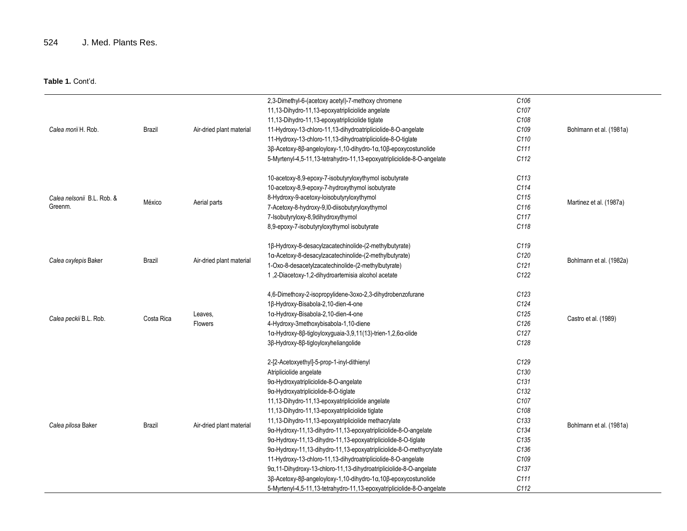|                            |            |                          | 2,3-Dimethyl-6-(acetoxy acetyl)-7-methoxy chromene                     | C106             |                         |
|----------------------------|------------|--------------------------|------------------------------------------------------------------------|------------------|-------------------------|
|                            |            |                          | 11,13-Dihydro-11,13-epoxyatripliciolide angelate                       | C <sub>107</sub> |                         |
|                            |            |                          | 11,13-Dihydro-11,13-epoxyatripliciolide tiglate                        | C <sub>108</sub> |                         |
| Calea morii H. Rob.        | Brazil     | Air-dried plant material | 11-Hydroxy-13-chloro-11,13-dihydroatripliciolide-8-O-angelate          | C109             | Bohlmann et al. (1981a) |
|                            |            |                          | 11-Hydroxy-13-chloro-11,13-dihydroatripliciolide-8-O-tiglate           | C110             |                         |
|                            |            |                          | 3β-Acetoxy-8β-angeloyloxy-1,10-dihydro-1α,10β-epoxycostunolide         | C111             |                         |
|                            |            |                          | 5-Myrtenyl-4,5-11,13-tetrahydro-11,13-epoxyatripliciolide-8-O-angelate | C112             |                         |
|                            |            |                          | 10-acetoxy-8,9-epoxy-7-isobutyryloxythymol isobutyrate                 | C113             |                         |
|                            |            |                          | 10-acetoxy-8,9-epoxy-7-hydroxythymol isobutyrate                       | C114             |                         |
| Calea nelsonii B.L. Rob. & |            |                          | 8-Hydroxy-9-acetoxy-loisobutyryloxythymol                              | C115             |                         |
| Greenm.                    | México     | Aerial parts             | 7-Acetoxy-8-hydroxy-9,I0-diisobutyryloxythymol                         | C116             | Martinez et al. (1987a) |
|                            |            |                          | 7-Isobutyryloxy-8,9dihydroxythymol                                     | C <sub>117</sub> |                         |
|                            |            |                          | 8,9-epoxy-7-isobutyryloxythymol isobutyrate                            | C118             |                         |
|                            |            |                          | 1β-Hydroxy-8-desacylzacatechinolide-(2-methylbutyrate)                 | C119             |                         |
|                            |            | Air-dried plant material | 1a-Acetoxy-8-desacylzacatechinolide-(2-methylbutyrate)                 | C120             |                         |
| Calea oxylepis Baker       | Brazil     |                          | 1-Oxo-8-desacetylzacatechinolide-(2-methylbutyrate)                    | C121             | Bohlmann et al. (1982a) |
|                            |            |                          | 1,2-Diacetoxy-1,2-dihydroartemisia alcohol acetate                     | C <sub>122</sub> |                         |
|                            |            |                          | 4,6-Dimethoxy-2-isopropylidene-3oxo-2,3-dihydrobenzofurane             | C123             |                         |
|                            |            | Leaves,<br>Flowers       | 1β-Hydroxy-Bisabola-2,10-dien-4-one                                    | C124             |                         |
|                            |            |                          | 1a-Hydroxy-Bisabola-2,10-dien-4-one                                    | C125             |                         |
| Calea peckii B.L. Rob.     | Costa Rica |                          | 4-Hydroxy-3methoxybisabola-1,10-diene                                  | C126             | Castro et al. (1989)    |
|                            |            |                          | 1α-Hydroxy-8β-tigloyloxyguaia-3,9,11(13)-trien-1,2,6α-olide            | C127             |                         |
|                            |            |                          | 3β-Hydroxy-8β-tigloyloxyheliangolide                                   | C128             |                         |
|                            |            |                          | 2-[2-Acetoxyethyl]-5-prop-1-inyl-dithienyl                             | C129             |                         |
|                            |            |                          | Atripliciolide angelate                                                | C130             |                         |
|                            |            |                          | 9a-Hydroxyatripliciolide-8-O-angelate                                  | C131             |                         |
|                            |            |                          | 9a-Hydroxyatripliciolide-8-O-tiglate                                   | C132             |                         |
|                            |            |                          | 11,13-Dihydro-11,13-epoxyatripliciolide angelate                       | C107             |                         |
|                            |            |                          | 11,13-Dihydro-11,13-epoxyatripliciolide tiglate                        | C <sub>108</sub> |                         |
|                            |            |                          | 11,13-Dihydro-11,13-epoxyatripliciolide methacrylate                   | C133             |                         |
| Calea pilosa Baker         | Brazil     | Air-dried plant material | 9a-Hydroxy-11,13-dihydro-11,13-epoxyatripliciolide-8-O-angelate        | C134             | Bohlmann et al. (1981a) |
|                            |            |                          | 9α-Hydroxy-11,13-dihydro-11,13-epoxyatripliciolide-8-O-tiglate         | C135             |                         |
|                            |            |                          | 9α-Hydroxy-11,13-dihydro-11,13-epoxyatripliciolide-8-O-methycrylate    | C136             |                         |
|                            |            |                          | 11-Hydroxy-13-chloro-11,13-dihydroatripliciolide-8-O-angelate          | C109             |                         |
|                            |            |                          | 9α, 11-Dihydroxy-13-chloro-11, 13-dihydroatripliciolide-8-O-angelate   | C137             |                         |
|                            |            |                          | 3β-Acetoxy-8β-angeloyloxy-1,10-dihydro-1α,10β-epoxycostunolide         | C <sub>111</sub> |                         |
|                            |            |                          | 5-Myrtenyl-4,5-11,13-tetrahydro-11,13-epoxyatripliciolide-8-O-angelate | C112             |                         |
|                            |            |                          |                                                                        |                  |                         |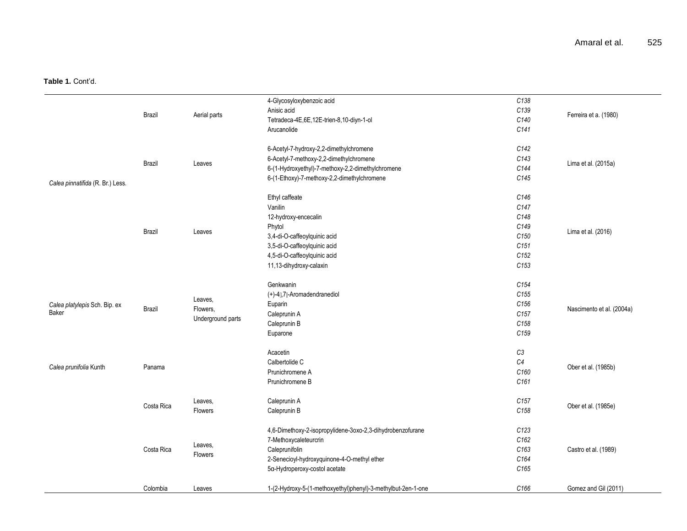|                                  |            |                                          | 4-Glycosyloxybenzoic acid                                    | C138             |                           |
|----------------------------------|------------|------------------------------------------|--------------------------------------------------------------|------------------|---------------------------|
|                                  | Brazil     |                                          | Anisic acid                                                  | C139             |                           |
|                                  |            | Aerial parts                             | Tetradeca-4E,6E,12E-trien-8,10-diyn-1-ol                     | C140             | Ferreira et a. (1980)     |
|                                  |            |                                          | Arucanolide                                                  | C141             |                           |
|                                  |            |                                          |                                                              |                  |                           |
|                                  |            |                                          | 6-Acetyl-7-hydroxy-2,2-dimethylchromene                      | C142             |                           |
|                                  |            |                                          | 6-Acetyl-7-methoxy-2,2-dimethylchromene                      | C143             |                           |
|                                  | Brazil     | Leaves                                   | 6-(1-Hydroxyethyl)-7-methoxy-2,2-dimethylchromene            | C144             | Lima et al. (2015a)       |
|                                  |            |                                          | 6-(1-Ethoxy)-7-methoxy-2,2-dimethylchromene                  | C145             |                           |
| Calea pinnatifida (R. Br.) Less. |            |                                          |                                                              |                  |                           |
|                                  |            |                                          | Ethyl caffeate                                               | C146             |                           |
|                                  |            |                                          | Vanilin                                                      | C147             |                           |
|                                  |            |                                          | 12-hydroxy-encecalin                                         | C148             |                           |
|                                  | Brazil     |                                          | Phytol                                                       | C149             | Lima et al. (2016)        |
|                                  |            | Leaves                                   | 3,4-di-O-caffeoylquinic acid                                 | C150             |                           |
|                                  |            |                                          | 3,5-di-O-caffeoylquinic acid                                 | C151             |                           |
|                                  |            |                                          | 4,5-di-O-caffeoylquinic acid                                 | C152             |                           |
|                                  |            |                                          | 11,13-dihydroxy-calaxin                                      | C <sub>153</sub> |                           |
|                                  |            |                                          |                                                              |                  |                           |
|                                  |            | Leaves,<br>Flowers,<br>Underground parts | Genkwanin                                                    | C154             |                           |
|                                  |            |                                          | (+)-4[],7[]-Aromadendranediol                                | C <sub>155</sub> |                           |
| Calea platylepis Sch. Bip. ex    |            |                                          | Euparin                                                      | C156             |                           |
| Baker                            | Brazil     |                                          | Caleprunin A                                                 | C <sub>157</sub> | Nascimento et al. (2004a) |
|                                  |            |                                          | Caleprunin B                                                 | C <sub>158</sub> |                           |
|                                  |            |                                          | Euparone                                                     | C <sub>159</sub> |                           |
|                                  |            |                                          |                                                              |                  |                           |
|                                  |            |                                          | Acacetin                                                     | C <sub>3</sub>   |                           |
| Calea prunifolia Kunth           | Panama     |                                          | Calbertolide C                                               | C4               | Ober et al. (1985b)       |
|                                  |            |                                          | Prunichromene A                                              | C160             |                           |
|                                  |            |                                          | Prunichromene B                                              | C <sub>161</sub> |                           |
|                                  |            |                                          |                                                              |                  |                           |
|                                  | Costa Rica | Leaves,                                  | Caleprunin A                                                 | C <sub>157</sub> | Ober et al. (1985e)       |
|                                  |            | Flowers                                  | Caleprunin B                                                 | C158             |                           |
|                                  |            |                                          |                                                              |                  |                           |
|                                  |            |                                          | 4,6-Dimethoxy-2-isopropylidene-3oxo-2,3-dihydrobenzofurane   | C123             |                           |
|                                  |            | Leaves,                                  | 7-Methoxycaleteurcrin                                        | C <sub>162</sub> |                           |
|                                  | Costa Rica | Flowers                                  | Caleprunifolin                                               | C163             | Castro et al. (1989)      |
|                                  |            |                                          | 2-Senecioyl-hydroxyquinone-4-O-methyl ether                  | C164             |                           |
|                                  |            |                                          | 5a-Hydroperoxy-costol acetate                                | C165             |                           |
|                                  |            |                                          |                                                              | C <sub>166</sub> | Gomez and Gil (2011)      |
|                                  | Colombia   | Leaves                                   | 1-(2-Hydroxy-5-(1-methoxyethyl)phenyl)-3-methylbut-2en-1-one |                  |                           |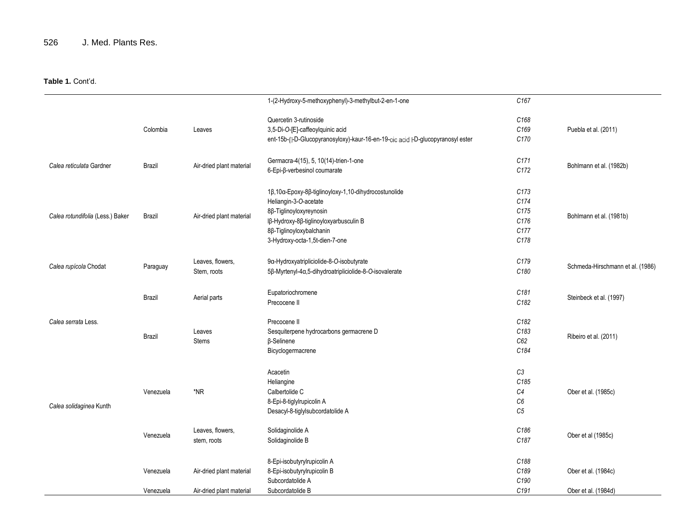| Quercetin 3-rutinoside<br>C168                                                                                                                |                                  |
|-----------------------------------------------------------------------------------------------------------------------------------------------|----------------------------------|
| C169<br>Colombia<br>3,5-Di-O-[E]-caffeoylquinic acid<br>Puebla et al. (2011)<br>Leaves                                                        |                                  |
| C170<br>ent-15b-(I-D-Glucopyranosyloxy)-kaur-16-en-19-oic acid I-D-glucopyranosyl ester                                                       |                                  |
| C171<br>Germacra-4(15), 5, 10(14)-trien-1-one                                                                                                 |                                  |
| Calea reticulata Gardner<br>Brazil<br>Air-dried plant material<br>Bohlmann et al. (1982b)<br>C <sub>172</sub><br>6-Epi-β-verbesinol coumarate |                                  |
| C173<br>1β,10α-Epoxy-8β-tiglinoyloxy-1,10-dihydrocostunolide                                                                                  |                                  |
| C174<br>Heliangin-3-O-acetate                                                                                                                 |                                  |
| C175<br>8β-Tiglinoyloxyreynosin                                                                                                               |                                  |
| Calea rotundifolia (Less.) Baker<br>Brazil<br>Air-dried plant material<br>Bohlmann et al. (1981b)<br>C176                                     |                                  |
| Iβ-Hydroxy-8β-tiglinoyloxyarbusculin B                                                                                                        |                                  |
| C177<br>8β-Tiglinoyloxybalchanin                                                                                                              |                                  |
| C178<br>3-Hydroxy-octa-1,5t-dien-7-one                                                                                                        |                                  |
| C179<br>Leaves, flowers,<br>9α-Hydroxyatripliciolide-8-O-isobutyrate<br>Calea rupícola Chodat                                                 | Schmeda-Hirschmann et al. (1986) |
| Paraguay<br>C180<br>5β-Myrtenyl-4α,5-dihydroatripliciolide-8-O-isovalerate<br>Stem, roots                                                     |                                  |
| C181<br>Eupatoriochromene                                                                                                                     |                                  |
| <b>Brazil</b><br>Aerial parts<br>Steinbeck et al. (1997)<br>C182<br>Precocene II                                                              |                                  |
|                                                                                                                                               |                                  |
| C182<br>Calea serrata Less.<br>Precocene II                                                                                                   |                                  |
| C183<br>Leaves<br>Sesquiterpene hydrocarbons germacrene D<br><b>Brazil</b><br>Ribeiro et al. (2011)                                           |                                  |
| C62<br>β-Selinene<br>Stems                                                                                                                    |                                  |
| C184<br>Bicyclogermacrene                                                                                                                     |                                  |
| C3<br>Acacetin                                                                                                                                |                                  |
| C185<br>Heliangine                                                                                                                            |                                  |
| *NR<br>C <sub>4</sub><br>Venezuela<br>Calbertolide C<br>Ober et al. (1985c)                                                                   |                                  |
| C6                                                                                                                                            |                                  |
| 8-Epi-8-tiglylrupicolin A<br>Calea solidaginea Kunth                                                                                          |                                  |
| C <sub>5</sub><br>Desacyl-8-tiglylsubcordatolide A                                                                                            |                                  |
| C186<br>Leaves, flowers,<br>Solidaginolide A<br>Ober et al (1985c)<br>Venezuela                                                               |                                  |
| C187<br>Solidaginolide B<br>stem, roots                                                                                                       |                                  |
| 8-Epi-isobutyrylrupicolin A<br>C188                                                                                                           |                                  |
| C189<br>8-Epi-isobutyrylrupicolin B<br>Ober et al. (1984c)<br>Venezuela<br>Air-dried plant material                                           |                                  |
| C190<br>Subcordatolide A                                                                                                                      |                                  |
| C <sub>191</sub><br>Subcordatolide B<br>Ober et al. (1984d)<br>Venezuela<br>Air-dried plant material                                          |                                  |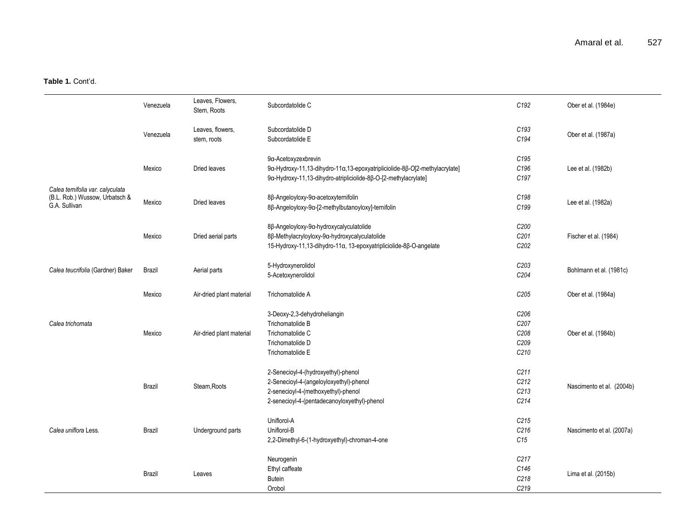|                                                                                     | Venezuela     | Leaves, Flowers,<br>Stem, Roots | Subcordatolide C                                                                                                                                                      | C192                                         | Ober et al. (1984e)       |
|-------------------------------------------------------------------------------------|---------------|---------------------------------|-----------------------------------------------------------------------------------------------------------------------------------------------------------------------|----------------------------------------------|---------------------------|
|                                                                                     | Venezuela     | Leaves, flowers,<br>stem, roots | Subcordatolide D<br>Subcordatolide E                                                                                                                                  | C <sub>193</sub><br>C194                     | Ober et al. (1987a)       |
|                                                                                     | Mexico        | Dried leaves                    | 9a-Acetoxyzexbrevin<br>9α-Hydroxy-11,13-dihydro-11α,13-epoxyatripliciolide-8β-O[2-methylacrylate]<br>9α-Hydroxy-11,13-dihydro-atripliciolide-8β-O-[2-methylacrylate]  | C <sub>195</sub><br>C <sub>196</sub><br>C197 | Lee et al. (1982b)        |
| Calea ternifolia var. calyculata<br>(B.L. Rob.) Wussow, Urbatsch &<br>G.A. Sullivan | Mexico        | Dried leaves                    | 8β-Angeloyloxy-9α-acetoxyternifolin<br>8β-Angeloyloxy-9α-[2-methylbutanoyloxy]-ternifolin                                                                             | C198<br>C199                                 | Lee et al. (1982a)        |
|                                                                                     | Mexico        | Dried aerial parts              | 8β-Angeloyloxy-9α-hydroxycalyculatolide<br>8β-Methylacryloyloxy-9α-hydroxycalyculatolide<br>15-Hydroxy-11,13-dihydro-11α, 13-epoxyatripliciolide-8β-O-angelate        | C200<br>C201<br>C <sub>202</sub>             | Fischer et al. (1984)     |
| Calea teucrifolia (Gardner) Baker                                                   | Brazil        | Aerial parts                    | 5-Hydroxynerolidol<br>5-Acetoxynerolidol                                                                                                                              | C203<br>C204                                 | Bohlmann et al. (1981c)   |
|                                                                                     | Mexico        | Air-dried plant material        | Trichomatolide A                                                                                                                                                      | C <sub>205</sub>                             | Ober et al. (1984a)       |
| Calea trichomata                                                                    | Mexico        | Air-dried plant material        | 3-Deoxy-2,3-dehydroheliangin<br>Trichomatolide B<br>Trichomatolide C<br>Trichomatolide D<br>Trichomatolide E                                                          | C206<br>C207<br>C208<br>C209<br>C210         | Ober et al. (1984b)       |
|                                                                                     | <b>Brazil</b> | Steam.Roots                     | 2-Senecioyl-4-(hydroxyethyl)-phenol<br>2-Senecioyl-4-(angeloyloxyethyl)-phenol<br>2-senecioyl-4-(methoxyethyl)-phenol<br>2-senecioyl-4-(pentadecanoyloxyethyl)-phenol | C <sub>211</sub><br>C212<br>C213<br>C214     | Nascimento et al. (2004b) |
| Calea uniflora Less.                                                                | Brazil        | Underground parts               | Uniflorol-A<br>Uniflorol-B<br>2,2-Dimethyl-6-(1-hydroxyethyl)-chroman-4-one                                                                                           | C <sub>215</sub><br>C216<br>C15              | Nascimento et al. (2007a) |
|                                                                                     | Brazil        | Leaves                          | Neurogenin<br>Ethyl caffeate<br><b>Butein</b><br>Orobol                                                                                                               | C217<br>C146<br>C218<br>C <sub>219</sub>     | Lima et al. (2015b)       |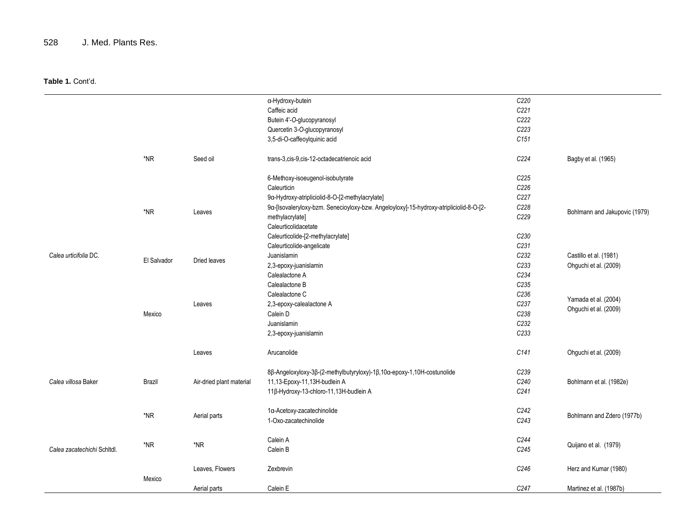|                             |             |                          | a-Hydroxy-butein                                                                       | C220 |                               |
|-----------------------------|-------------|--------------------------|----------------------------------------------------------------------------------------|------|-------------------------------|
|                             |             |                          | Caffeic acid                                                                           | C221 |                               |
|                             |             |                          |                                                                                        | C222 |                               |
|                             |             |                          | Butein 4'-O-glucopyranosyl                                                             |      |                               |
|                             |             |                          | Quercetin 3-O-glucopyranosyl                                                           | C223 |                               |
|                             |             |                          | 3,5-di-O-caffeoylquinic acid                                                           | C151 |                               |
|                             | $*NR$       | Seed oil                 | trans-3, cis-9, cis-12-octadecatrienoic acid                                           | C224 | Bagby et al. (1965)           |
|                             |             |                          | 6-Methoxy-isoeugenol-isobutyrate                                                       | C225 |                               |
|                             |             |                          | Caleurticin                                                                            | C226 |                               |
|                             |             |                          | 9a-Hydroxy-atripliciolid-8-O-[2-methylacrylate]                                        | C227 |                               |
|                             |             |                          | 9a-[Isovaleryloxy-bzm. Senecioyloxy-bzw. Angeloyloxy]-15-hydroxy-atripliciolid-8-O-[2- | C228 |                               |
|                             | *NR         | Leaves                   | methylacrylate]                                                                        | C229 | Bohlmann and Jakupovic (1979) |
|                             |             |                          | Caleurticolidacetate                                                                   |      |                               |
|                             |             |                          | Caleurticolide-[2-methylacrylate]                                                      | C230 |                               |
|                             |             |                          | Caleurticolide-angelicate                                                              | C231 |                               |
| Calea urticifolia DC.       |             | Dried leaves             | Juanislamin                                                                            | C232 | Castillo et al. (1981)        |
|                             | El Salvador |                          | 2,3-epoxy-juanislamin                                                                  | C233 | Ohguchi et al. (2009)         |
|                             |             |                          | Calealactone A                                                                         | C234 |                               |
|                             |             |                          | Calealactone B                                                                         | C235 |                               |
|                             |             | Leaves                   | Calealactone C                                                                         | C236 | Yamada et al. (2004)          |
|                             |             |                          | 2,3-epoxy-calealactone A                                                               | C237 |                               |
|                             | Mexico      |                          | Calein D                                                                               | C238 | Ohguchi et al. (2009)         |
|                             |             |                          | Juanislamin                                                                            | C232 |                               |
|                             |             |                          | 2,3-epoxy-juanislamin                                                                  | C233 |                               |
|                             |             | Leaves                   | Arucanolide                                                                            | C141 | Ohguchi et al. (2009)         |
|                             |             |                          | 8β-Angeloxyloxy-3β-(2-methylbutyryloxy)-1β,10α-epoxy-1,10H-costunolide                 | C239 |                               |
| Calea villosa Baker         | Brazil      | Air-dried plant material | 11,13-Epoxy-11,13H-budlein A                                                           | C240 | Bohlmann et al. (1982e)       |
|                             |             |                          | 11β-Hydroxy-13-chloro-11,13H-budlein A                                                 | C241 |                               |
|                             |             |                          |                                                                                        |      |                               |
|                             | *NR         | Aerial parts             | 1a-Acetoxy-zacatechinolide                                                             | C242 | Bohlmann and Zdero (1977b)    |
|                             |             |                          | 1-Oxo-zacatechinolide                                                                  | C243 |                               |
| Calea zacatechichi Schltdl. |             |                          | Calein A                                                                               | C244 |                               |
|                             | $*NR$       | *NR                      | Calein B                                                                               | C245 | Quijano et al. (1979)         |
|                             | Mexico      | Leaves, Flowers          | Zexbrevin                                                                              | C246 | Herz and Kumar (1980)         |
|                             |             | Aerial parts             | Calein E                                                                               | C247 | Martinez et al. (1987b)       |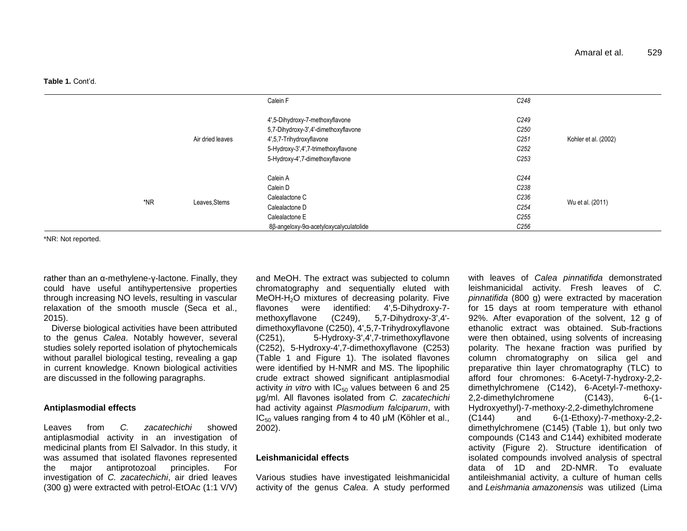|     |                  | Calein F                               | C248             |                      |
|-----|------------------|----------------------------------------|------------------|----------------------|
|     |                  | 4',5-Dihydroxy-7-methoxyflavone        | C249             |                      |
|     |                  | 5,7-Dihydroxy-3',4'-dimethoxyflavone   | C <sub>250</sub> |                      |
|     | Air dried leaves | 4',5,7-Trihydroxyflavone               | C <sub>251</sub> | Kohler et al. (2002) |
|     |                  | 5-Hydroxy-3',4',7-trimethoxyflavone    | C <sub>252</sub> |                      |
|     |                  | 5-Hydroxy-4',7-dimethoxyflavone        | C <sub>253</sub> |                      |
|     |                  |                                        |                  |                      |
|     |                  | Calein A                               | C <sub>244</sub> |                      |
|     |                  | Calein D                               | C238             |                      |
|     |                  | Calealactone C                         | C236             |                      |
| *NR | Leaves, Stems    | Calealactone D                         | C <sub>254</sub> | Wu et al. (2011)     |
|     |                  | Calealactone E                         | C <sub>255</sub> |                      |
|     |                  | 8β-angeloxy-9α-acetyloxycalyculatolide | C <sub>256</sub> |                      |

\*NR: Not reported.

rather than an α-methylene-γ-lactone. Finally, they could have useful antihypertensive properties through increasing NO levels, resulting in vascular relaxation of the smooth muscle (Seca et al., 2015).

Diverse biological activities have been attributed to the genus *Calea*. Notably however, several studies solely reported isolation of phytochemicals without parallel biological testing, revealing a gap in current knowledge. Known biological activities are discussed in the following paragraphs.

#### **Antiplasmodial effects**

Leaves from *C. zacatechichi* showed antiplasmodial activity in an investigation of medicinal plants from El Salvador. In this study, it was assumed that isolated flavones represented the major antiprotozoal principles. For investigation of *C. zacatechichi*, air dried leaves (300 g) were extracted with petrol-EtOAc (1:1 V/V) and MeOH. The extract was subjected to column chromatography and sequentially eluted with  $MeOH-H<sub>2</sub>O$  mixtures of decreasing polarity. Five flavones were identified: 4',5-Dihydroxy-7 methoxyflavone (C249), 5,7-Dihydroxy-3',4' dimethoxyflavone (C250), 4',5,7-Trihydroxyflavone (C251), 5-Hydroxy-3',4',7-trimethoxyflavone (C252), 5-Hydroxy-4',7-dimethoxyflavone (C253) (Table 1 and Figure 1). The isolated flavones were identified by H-NMR and MS. The lipophilic crude extract showed significant antiplasmodial activity *in vitro* with  $IC_{50}$  values between 6 and 25 μg/ml. All flavones isolated from *C. zacatechichi* had activity against *Plasmodium falciparum*, with  $IC_{50}$  values ranging from 4 to 40 μM (Köhler et al., 2002).

#### **Leishmanicidal effects**

Various studies have investigated leishmanicidal activity of the genus *Calea*. A study performed

with leaves of *Calea pinnatifida* demonstrated leishmanicidal activity. Fresh leaves of *C. pinnatifida* (800 g) were extracted by maceration for 15 days at room temperature with ethanol 92%. After evaporation of the solvent, 12 g of ethanolic extract was obtained. Sub-fractions were then obtained, using solvents of increasing polarity. The hexane fraction was purified by column chromatography on silica gel and preparative thin layer chromatography (TLC) to afford four chromones: 6-Acetyl-7-hydroxy-2,2 dimethylchromene (C142), 6-Acetyl-7-methoxy-2,2-dimethylchromene (C143), 6-(1- Hydroxyethyl)-7-methoxy-2,2-dimethylchromene (C144) and 6-(1-Ethoxy)-7-methoxy-2,2 dimethylchromene (C145) (Table 1), but only two compounds (C143 and C144) exhibited moderate activity (Figure 2). Structure identification of isolated compounds involved analysis of spectral data of 1D and 2D-NMR. To evaluate antileishmanial activity, a culture of human cells and *Leishmania amazonensis* was utilized (Lima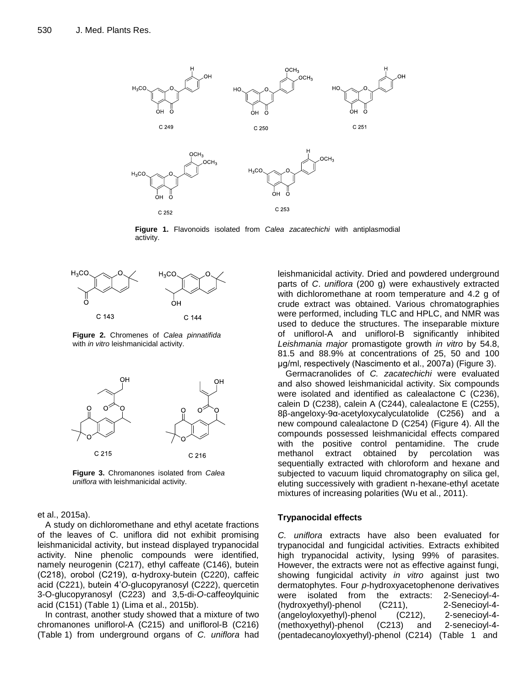

**Figure 1.** Flavonoids isolated from *Calea zacatechichi* with antiplasmodial activity.



**Figure 2.** Chromenes of *Calea pinnatifida* with *in vitro* leishmanicidal activity.



**Figure 3.** Chromanones isolated from *Calea uniflora* with leishmanicidal activity.

#### et al., 2015a).

A study on dichloromethane and ethyl acetate fractions of the leaves of C. uniflora did not exhibit promising leishmanicidal activity, but instead displayed trypanocidal activity. Nine phenolic compounds were identified, namely neurogenin (C217), ethyl caffeate (C146), butein (C218), orobol (C219), α-hydroxy-butein (C220), caffeic acid (C221), butein 4"*O*-glucopyranosyl (C222), quercetin 3-O-glucopyranosyl (C223) and 3,5-di-*O*-caffeoylquinic acid (C151) (Table 1) (Lima et al., 2015b).

In contrast, another study showed that a mixture of two chromanones uniflorol-A (C215) and uniflorol-B (C216) (Table 1) from underground organs of *C. uniflora* had leishmanicidal activity. Dried and powdered underground parts of *C*. *uniflora* (200 g) were exhaustively extracted with dichloromethane at room temperature and 4.2 g of crude extract was obtained. Various chromatographies were performed, including TLC and HPLC, and NMR was used to deduce the structures. The inseparable mixture of uniflorol-A and uniflorol-B significantly inhibited *Leishmania major* promastigote growth *in vitro* by 54.8, 81.5 and 88.9% at concentrations of 25, 50 and 100 μg/ml, respectively (Nascimento et al., 2007a) (Figure 3).

Germacranolides of *C. zacatechichi* were evaluated and also showed leishmanicidal activity. Six compounds were isolated and identified as calealactone C (C236), calein D (C238), calein A (C244), calealactone E (C255), 8β-angeloxy-9α-acetyloxycalyculatolide (C256) and a new compound calealactone D (C254) (Figure 4). All the compounds possessed leishmanicidal effects compared with the positive control pentamidine. The crude methanol extract obtained by percolation was sequentially extracted with chloroform and hexane and subjected to vacuum liquid chromatography on silica gel, eluting successively with gradient n-hexane-ethyl acetate mixtures of increasing polarities (Wu et al., 2011).

#### **Trypanocidal effects**

*C. uniflora* extracts have also been evaluated for trypanocidal and fungicidal activities. Extracts exhibited high trypanocidal activity, lysing 99% of parasites. However, the extracts were not as effective against fungi, showing fungicidal activity *in vitro* against just two dermatophytes. Four *p*-hydroxyacetophenone derivatives were isolated from the extracts: 2-Senecioyl-4- (hydroxyethyl)-phenol (C211), 2-Senecioyl-4- (angeloyloxyethyl)-phenol (C212), 2-senecioyl-4- (methoxyethyl)-phenol (C213) and 2-senecioyl-4- (pentadecanoyloxyethyl)-phenol (C214) (Table 1 and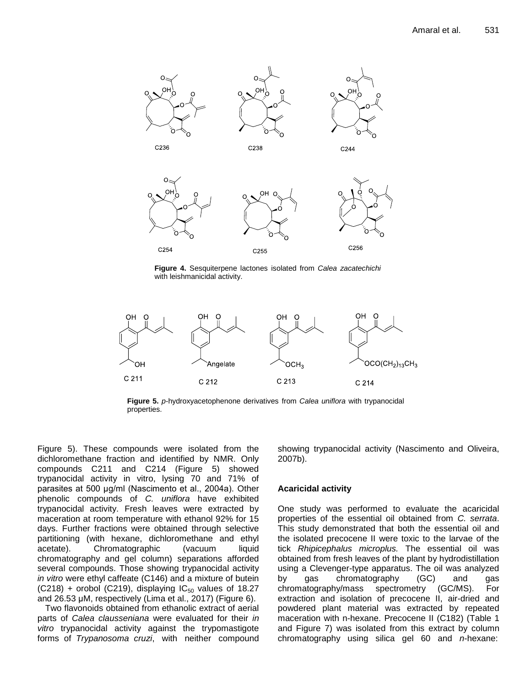

**Figure 4.** Sesquiterpene lactones isolated from *Calea zacatechichi* with leishmanicidal activity.



**Figure 5.** *p*-hydroxyacetophenone derivatives from *Calea uniflora* with trypanocidal properties.

Figure 5). These compounds were isolated from the dichloromethane fraction and identified by NMR. Only compounds C211 and C214 (Figure 5) showed trypanocidal activity in vitro, lysing 70 and 71% of parasites at 500 μg/ml (Nascimento et al., 2004a). Other phenolic compounds of *C. uniflora* have exhibited trypanocidal activity. Fresh leaves were extracted by maceration at room temperature with ethanol 92% for 15 days. Further fractions were obtained through selective partitioning (with hexane, dichloromethane and ethyl acetate). Chromatographic (vacuum liquid chromatography and gel column) separations afforded several compounds. Those showing trypanocidal activity *in vitro* were ethyl caffeate (C146) and a mixture of butein  $(C218)$  + orobol (C219), displaying  $IC_{50}$  values of 18.27 and 26.53 μM, respectively (Lima et al., 2017) (Figure 6).

Two flavonoids obtained from ethanolic extract of aerial parts of *Calea clausseniana* were evaluated for their *in vitro* trypanocidal activity against the trypomastigote forms of *Trypanosoma cruzi*, with neither compound showing trypanocidal activity (Nascimento and Oliveira, 2007b).

# **Acaricidal activity**

One study was performed to evaluate the acaricidal properties of the essential oil obtained from *C. serrata*. This study demonstrated that both the essential oil and the isolated precocene II were toxic to the larvae of the tick *Rhipicephalus microplus.* The essential oil was obtained from fresh leaves of the plant by hydrodistillation using a Clevenger-type apparatus. The oil was analyzed by gas chromatography (GC) and gas chromatography/mass spectrometry (GC/MS). For extraction and isolation of precocene II, air-dried and powdered plant material was extracted by repeated maceration with n-hexane. Precocene II (C182) (Table 1 and Figure 7) was isolated from this extract by column chromatography using silica gel 60 and *n*-hexane: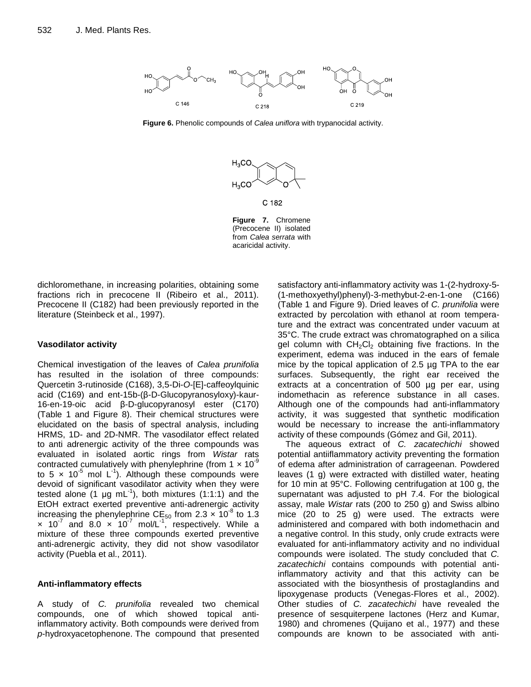

**Figure 6.** Phenolic compounds of *Calea uniflora* with trypanocidal activity.





dichloromethane, in increasing polarities, obtaining some fractions rich in precocene II (Ribeiro et al., 2011). Precocene II (C182) had been previously reported in the literature (Steinbeck et al., 1997).

### **Vasodilator activity**

Chemical investigation of the leaves of *Calea prunifolia*  has resulted in the isolation of three compounds: Quercetin 3-rutinoside (C168), 3,5-Di-*O*-[E]-caffeoylquinic acid (C169) and ent-15b-(β-D-Glucopyranosyloxy)-kaur-16-en-19-oic acid β-D-glucopyranosyl ester (C170) (Table 1 and Figure 8). Their chemical structures were elucidated on the basis of spectral analysis, including HRMS, 1D- and 2D-NMR. The vasodilator effect related to anti adrenergic activity of the three compounds was evaluated in isolated aortic rings from *Wistar* rats contracted cumulatively with phenylephrine (from  $1 \times 10^{-9}$ to 5  $\times$  10<sup>-5</sup> mol L<sup>-1</sup>). Although these compounds were devoid of significant vasodilator activity when they were tested alone (1  $\mu$ g mL<sup>-1</sup>), both mixtures (1:1:1) and the EtOH extract exerted preventive anti-adrenergic activity increasing the phenylephrine CE<sub>50</sub> from 2.3  $\times$  10<sup>-8</sup> to 1.3  $\times$  10<sup>-7</sup> and 8.0  $\times$  10<sup>-7</sup> mol/L<sup>-1</sup>, respectively. While a mixture of these three compounds exerted preventive anti-adrenergic activity, they did not show vasodilator activity (Puebla et al., 2011).

# **Anti-inflammatory effects**

A study of *C. prunifolia* revealed two chemical compounds, one of which showed topical antiinflammatory activity. Both compounds were derived from *p*-hydroxyacetophenone. The compound that presented satisfactory anti-inflammatory activity was 1-(2-hydroxy-5- (1-methoxyethyl)phenyl)-3-methybut-2-en-1-one (C166) (Table 1 and Figure 9). Dried leaves of *C. prunifolia* were extracted by percolation with ethanol at room temperature and the extract was concentrated under vacuum at 35°C. The crude extract was chromatographed on a silica gel column with  $CH_2Cl_2$  obtaining five fractions. In the experiment, edema was induced in the ears of female mice by the topical application of 2.5 µg TPA to the ear surfaces. Subsequently, the right ear received the extracts at a concentration of 500 µg per ear, using indomethacin as reference substance in all cases. Although one of the compounds had anti-inflammatory activity, it was suggested that synthetic modification would be necessary to increase the anti-inflammatory activity of these compounds (Gómez and Gil, 2011).

The aqueous extract of *C. zacatechichi* showed potential antiiflammatory activity preventing the formation of edema after administration of carrageenan. Powdered leaves (1 g) were extracted with distilled water, heating for 10 min at 95°C. Following centrifugation at 100 g, the supernatant was adjusted to pH 7.4. For the biological assay, male *Wistar* rats (200 to 250 g) and Swiss albino mice (20 to 25 g) were used. The extracts were administered and compared with both indomethacin and a negative control. In this study, only crude extracts were evaluated for anti-inflammatory activity and no individual compounds were isolated. The study concluded that *C. zacatechichi* contains compounds with potential antiinflammatory activity and that this activity can be associated with the biosynthesis of prostaglandins and lipoxygenase products (Venegas-Flores et al., 2002). Other studies of *C. zacatechichi* have revealed the presence of sesquiterpene lactones (Herz and Kumar, 1980) and chromenes (Quijano et al., 1977) and these compounds are known to be associated with anti-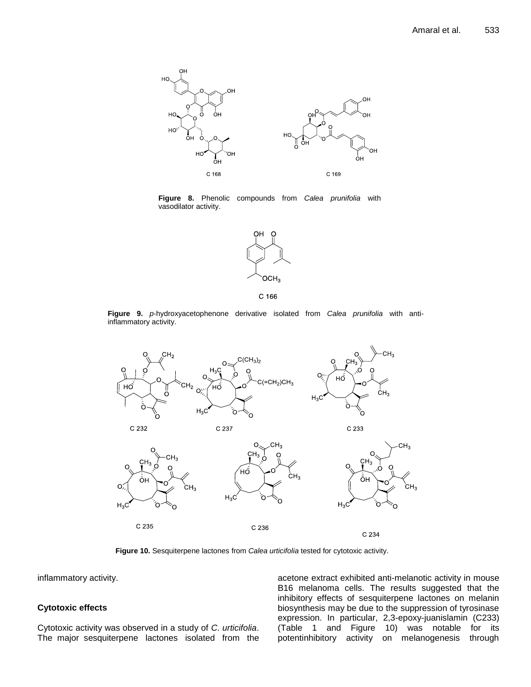

**Figure 8.** Phenolic compounds from *Calea prunifolia* with vasodilator activity.



C 166

**Figure 9.** *p*-hydroxyacetophenone derivative isolated from *Calea prunifolia* with antiinflammatory activity.



**Figure 10.** Sesquiterpene lactones from *Calea urticifolia* tested for cytotoxic activity.

inflammatory activity.

#### **Cytotoxic effects**

Cytotoxic activity was observed in a study of *C. urticifolia*. The major sesquiterpene lactones isolated from the acetone extract exhibited anti-melanotic activity in mouse B16 melanoma cells. The results suggested that the inhibitory effects of sesquiterpene lactones on melanin biosynthesis may be due to the suppression of tyrosinase expression. In particular, 2,3-epoxy-juanislamin (C233) (Table 1 and Figure 10) was notable for its potentinhibitory activity on melanogenesis through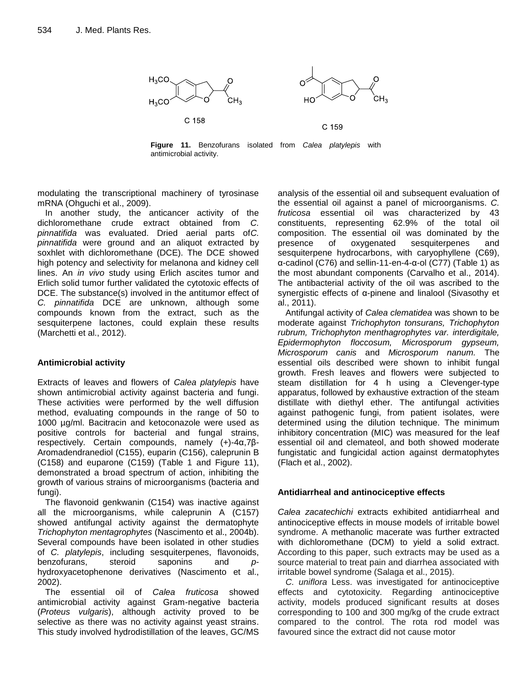

**Figure 11.** Benzofurans isolated from *Calea platylepis* with antimicrobial activity.

modulating the transcriptional machinery of tyrosinase mRNA (Ohguchi et al., 2009).

In another study, the anticancer activity of the dichloromethane crude extract obtained from *C. pinnatifida* was evaluated. Dried aerial parts of*C. pinnatifida* were ground and an aliquot extracted by soxhlet with dichloromethane (DCE). The DCE showed high potency and selectivity for melanona and kidney cell lines. An *in vivo* study using Erlich ascites tumor and Erlich solid tumor further validated the cytotoxic effects of DCE. The substance(s) involved in the antitumor effect of *C. pinnatifida* DCE are unknown, although some compounds known from the extract, such as the sesquiterpene lactones, could explain these results (Marchetti et al., 2012).

# **Antimicrobial activity**

Extracts of leaves and flowers of *Calea platylepis* have shown antimicrobial activity against bacteria and fungi. These activities were performed by the well diffusion method, evaluating compounds in the range of 50 to 1000 µg/ml. Bacitracin and ketoconazole were used as positive controls for bacterial and fungal strains, respectively. Certain compounds, namely (+)-4α,7β-Aromadendranediol (C155), euparin (C156), caleprunin B (C158) and euparone (C159) (Table 1 and Figure 11), demonstrated a broad spectrum of action, inhibiting the growth of various strains of microorganisms (bacteria and fungi).

The flavonoid genkwanin (C154) was inactive against all the microorganisms, while caleprunin A (C157) showed antifungal activity against the dermatophyte *Trichophyton mentagrophytes* (Nascimento et al., 2004b). Several compounds have been isolated in other studies of *C. platylepis*, including sesquiterpenes, flavonoids, benzofurans, steroid saponins and *p*hydroxyacetophenone derivatives (Nascimento et al., 2002).

The essential oil of *Calea fruticosa* showed antimicrobial activity against Gram-negative bacteria (*Proteus vulgaris*), although activity proved to be selective as there was no activity against yeast strains. This study involved hydrodistillation of the leaves, GC/MS analysis of the essential oil and subsequent evaluation of the essential oil against a panel of microorganisms. *C. fruticosa* essential oil was characterized by 43 constituents, representing 62.9% of the total oil composition. The essential oil was dominated by the presence of oxygenated sesquiterpenes and sesquiterpene hydrocarbons, with caryophyllene (C69), α-cadinol (C76) and sellin-11-en-4-α-ol (C77) (Table 1) as the most abundant components (Carvalho et al., 2014). The antibacterial activity of the oil was ascribed to the synergistic effects of α-pinene and linalool (Sivasothy et al., 2011).

Antifungal activity of *Calea clematidea* was shown to be moderate against *Trichophyton tonsurans, Trichophyton rubrum, Trichophyton menthagrophytes var. interdigitale, Epidermophyton floccosum, Microsporum gypseum, Microsporum canis* and *Microsporum nanum.* The essential oils described were shown to inhibit fungal growth. Fresh leaves and flowers were subjected to steam distillation for 4 h using a Clevenger-type apparatus, followed by exhaustive extraction of the steam distillate with diethyl ether. The antifungal activities against pathogenic fungi, from patient isolates, were determined using the dilution technique. The minimum inhibitory concentration (MIC) was measured for the leaf essential oil and clemateol, and both showed moderate fungistatic and fungicidal action against dermatophytes (Flach et al., 2002).

#### **Antidiarrheal and antinociceptive effects**

*Calea zacatechichi* extracts exhibited antidiarrheal and antinociceptive effects in mouse models of irritable bowel syndrome. A methanolic macerate was further extracted with dichloromethane (DCM) to yield a solid extract. According to this paper, such extracts may be used as a source material to treat pain and diarrhea associated with irritable bowel syndrome (Salaga et al., 2015).

*C. uniflora* Less. was investigated for antinociceptive effects and cytotoxicity. Regarding antinociceptive activity, models produced significant results at doses corresponding to 100 and 300 mg/kg of the crude extract compared to the control. The rota rod model was favoured since the extract did not cause motor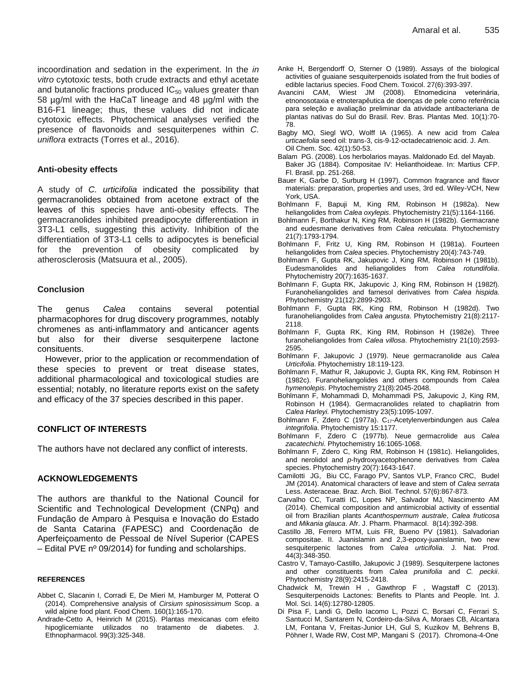incoordination and sedation in the experiment. In the *in vitro* cytotoxic tests, both crude extracts and ethyl acetate and butanolic fractions produced  $IC_{50}$  values greater than 58 µg/ml with the HaCaT lineage and 48 µg/ml with the B16-F1 lineage; thus, these values did not indicate cytotoxic effects. Phytochemical analyses verified the presence of flavonoids and sesquiterpenes within *C. uniflora* extracts (Torres et al., 2016).

#### **Anti-obesity effects**

A study of *C. urticifolia* indicated the possibility that germacranolides obtained from acetone extract of the leaves of this species have anti-obesity effects. The germacranolides inhibited preadipocyte differentiation in 3T3-L1 cells, suggesting this activity. Inhibition of the differentiation of 3T3-L1 cells to adipocytes is beneficial for the prevention of obesity complicated by atherosclerosis (Matsuura et al., 2005).

#### **Conclusion**

The genus *Calea* contains several potential pharmacophores for drug discovery programmes, notably chromenes as anti-inflammatory and anticancer agents but also for their diverse sesquiterpene lactone consituents.

However, prior to the application or recommendation of these species to prevent or treat disease states, additional pharmacological and toxicological studies are essential; notably, no literature reports exist on the safety and efficacy of the 37 species described in this paper.

#### **CONFLICT OF INTERESTS**

The authors have not declared any conflict of interests.

#### **ACKNOWLEDGEMENTS**

The authors are thankful to the National Council for Scientific and Technological Development (CNPq) and Fundação de Amparo à Pesquisa e Inovação do Estado de Santa Catarina (FAPESC) and Coordenação de Aperfeiçoamento de Pessoal de Nível Superior (CAPES – Edital PVE nº 09/2014) for funding and scholarships.

#### **REFERENCES**

- Abbet C, Slacanin I, Corradi E, De Mieri M, Hamburger M, Potterat O (2014). Comprehensive analysis of *Cirsium spinosissimum* Scop. a wild alpine food plant. Food Chem. 160(1):165-170.
- Andrade-Cetto A, Heinrich M (2015). Plantas mexicanas com efeito hipoglicemiante utilizados no tratamento de diabetes. J. Ethnopharmacol. 99(3):325-348.
- Anke H, Bergendorff O, Sterner O (1989). Assays of the biological activities of guaiane sesquiterpenoids isolated from the fruit bodies of edible lactarius species. Food Chem. Toxicol. 27(6):393-397.
- Avancini CAM, Wiest JM (2008). Etnomedicina veterinária, etnonosotaxia e etnoterapêutica de doenças de pele como referência para seleção e avaliação preliminar da atividade antibacteriana de plantas nativas do Sul do Brasil. Rev. Bras. Plantas Med. 10(1):70- 78.
- Bagby MO, Siegl WO, Wolff IA (1965). A new acid from *Calea urticaefolia* seed oil: trans-3, cis-9-12-octadecatrienoic acid. J. Am. Oil Chem. Soc. 42(1):50-53.
- Balam PG. (2008). Los herbolarios mayas. Maldonado Ed. del Mayab. Baker JG (1884). Compositae IV: Helianthoideae. In: Martius CFP. Fl. Brasil. pp. 251-268.
- Bauer K, Garbe D, Surburg H (1997). Common fragrance and flavor materials: preparation, properties and uses, 3rd ed. Wiley-VCH, New York, USA.
- Bohlmann F, Bapuji M, King RM, Robinson H (1982a). New heliangolides from *Calea oxylepis*. Phytochemistry 21(5):1164-1166.
- Bohlmann F, Borthakur N, King RM, Robinson H (1982b). Germacrane and eudesmane derivatives from *Calea reticulata*. Phytochemistry 21(7):1793-1794.
- Bohlmann F, Fritz U, King RM, Robinson H (1981a). Fourteen heliangolides from *Calea* species. Phytochemistry 20(4):743-749.
- Bohlmann F, Gupta RK, Jakupovic J, King RM, Robinson H (1981b). Eudesmanolides and heliangolides from *Calea rotundifolia*. Phytochemistry 20(7):1635-1637.
- Bohlmann F, Gupta RK, Jakupovic J, King RM, Robinson H (1982f). Furanoheliangolides and farnesol derivatives from *Calea hispida*. Phytochemistry 21(12):2899-2903.
- Bohlmann F, Gupta RK, King RM, Robinson H (1982d). Two furanoheliangolides from *Calea angusta*. Phytochemistry 21(8):2117- 2118.
- Bohlmann F, Gupta RK, King RM, Robinson H (1982e). Three furanoheliangolides from *Calea villosa*. Phytochemistry 21(10):2593- 2595.
- Bohlmann F, Jakupovic J (1979). Neue germacranolide aus *Calea Urticifolia*. Phytochemistry 18:119-123.
- Bohlmann F, Mathur R, Jakupovic J, Gupta RK, King RM, Robinson H (1982c). Furanoheliangolides and others compounds from *Calea hymenolepis*. Phytochemistry 21(8):2045-2048.
- Bohlmann F, Mohammadi D, Mohammadi PS, Jakupovic J, King RM, Robinson H (1984). Germacranolides related to chapliatrin from *Calea Harleyi.* Phytochemistry 23(5):1095-1097.
- Bohlmann F, Zdero C (1977a). C<sub>17</sub>-Acetylenverbindungen aus Calea *integrifolia*. Phytochemistry 15:1177.
- Bohlmann F, Zdero C (1977b). Neue germacrolide aus *Calea zacatechichi*. Phytochemistry 16:1065-1068.
- Bohlmann F, Zdero C, King RM, Robinson H (1981c). Heliangolides, and nerolidol and *p*-hydroxyacetophenone derivatives from *Calea* species. Phytochemistry 20(7):1643-1647.
- Camilotti JG, Biu CC, Farago PV, Santos VLP, Franco CRC, Budel JM (2014). Anatomical characters of leave and stem of *Calea serrata*  Less. Asteraceae. Braz. Arch. Biol. Technol*.* 57(6):867-873.
- Carvalho CC, Turatti IC, Lopes NP, Salvador MJ, Nascimento AM (2014). Chemical composition and antimicrobial activity of essential oil from Brazilian plants *Acanthospermum australe*, *Calea fruticosa* and *Mikania glauca*. Afr. J. Pharm. Pharmacol.8(14):392-398.
- Castillo JB, Ferrero MTM, Luis FR, Bueno PV (1981). Salvadorian compositae. II. Juanislamin and 2,3-epoxy-juanislamin, two new sesquiterpenic lactones from *Calea urticifolia*. J. Nat. Prod. 44(3):348-350.
- Castro V, Tamayo-Castillo, Jakupovic J (1989). Sesquiterpene lactones and other constituents from *Calea prunifolia* and *C. peckii*. Phytochemistry 28(9):2415-2418.
- Chadwick [M,](http://www.mdpi.com/search?authors=Martin%20Chadwick&orcid=) Trewin [H](http://www.mdpi.com/search?authors=Harriet%20Trewin&orcid=) , Gawthrop [F](http://www.mdpi.com/search?authors=Frances%20Gawthrop&orcid=) , Wagstaff C (2013). Sesquiterpenoids Lactones: Benefits to Plants and People. Int. J. Mol. Sci. 14(6):12780-12805.
- Di Pisa F, Landi G, Dello Iacomo L, Pozzi C, Borsari C, Ferrari S, Santucci M, Santarem N, Cordeiro-da-Silva A, Moraes CB, Alcantara LM, Fontana V, Freitas-Junior LH, Gul S, Kuzikov M, Behrens B, Pöhner I, Wade RW, Cost MP, Mangani S (2017). Chromona-4-One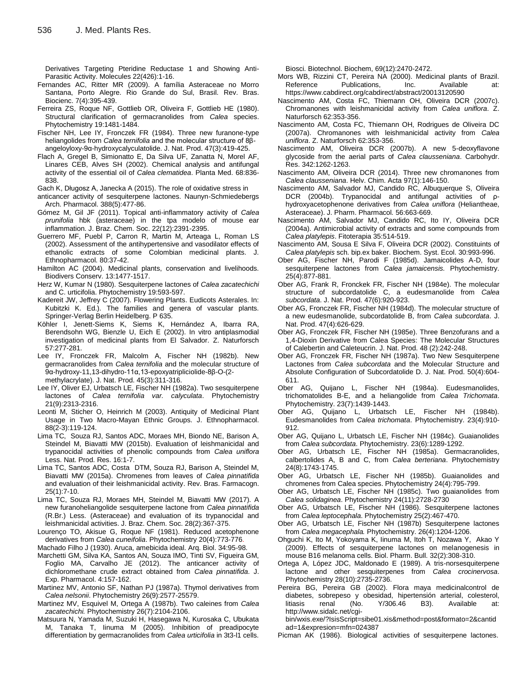Derivatives Targeting Pteridine Reductase 1 and Showing Anti-Parasitic Activity. Molecules 22(426):1-16.

- Fernandes AC, Ritter MR (2009). A família Asteraceae no Morro Santana, Porto Alegre. Rio Grande do Sul, Brasil. Rev. Bras. Biocienc. 7(4):395-439.
- Ferreira ZS, Roque NF, Gottlieb OR, Oliveira F, Gottlieb HE (1980). Structural clarification of germacranolides from *Calea* species. Phytochemistry 19:1481-1484.
- Fischer NH, Lee IY, Fronczek FR (1984). Three new furanone-type heliangolides from *Calea ternifolia* and the molecular structure of 8βangeloyloxy-9α-hydroxycalyculatolide. J. Nat. Prod. 47(3):419-425.
- Flach A, Gregel B, Simionatto E, Da Silva UF, Zanatta N, Morel AF, Linares CEB, Alves SH (2002). Chemical analysis and antifungal activity of the essential oil of *Calea clematidea*. Planta Med. 68:836- 838.

[Gach K,](http://www.ncbi.nlm.nih.gov/pubmed/?term=Gach%20K%5BAuthor%5D&cauthor=true&cauthor_uid=25656627) [Długosz A,](http://www.ncbi.nlm.nih.gov/pubmed/?term=D%C5%82ugosz%20A%5BAuthor%5D&cauthor=true&cauthor_uid=25656627) [Janecka A](http://www.ncbi.nlm.nih.gov/pubmed/?term=Janecka%20A%5BAuthor%5D&cauthor=true&cauthor_uid=25656627) (2015). The role of oxidative stress in

anticancer activity of sesquiterpene lactones. Naunyn-Schmiedebergs Arch. Pharmacol. 388(5):477-86.

Gómez M, Gil JF (2011). Topical anti-inflammatory activity of *Calea prunifolia* hbk (asteraceae) in the tpa modelo of mouse ear inflammation. J. Braz. Chem. Soc. 22(12):2391-2395.

Guerrero MF, Puebl P, Carron R, Martin M, Arteaga L, Roman LS (2002). Assessment of the antihypertensive and vasodilator effects of ethanolic extracts of some Colombian medicinal plants. J. Ethnopharmacol. 80:37-42.

Hamilton AC (2004). Medicinal plants, conservation and livelihoods. Biodivers Conserv. 13:1477-1517.

- Herz W, Kumar N (1980). Sesquiterpene lactones of *Calea zacatechichi* and C. urticifolia. Phytochemistry 19:593-597.
- Kadereit JW, Jeffrey C (2007). Flowering Plants. Eudicots Asterales. In: Kubitzki K. Ed.). The families and genera of vascular plants. Springer-Verlag Berlin Heidelberg. P 635.
- Köhler I, Jenett-Siems K, Siems K, Hernández A, Ibarra RA, Berendsohn WG, Bienzle U, Eich E (2002). In vitro antiplasmodial investigation of medicinal plants from El Salvador. Z. Naturforsch 57:277-281.
- Lee IY, Fronczek FR, Malcolm A, Fischer NH (1982b). New germacranolides from *Calea ternifolia* and the molecular structure of 9α-hydroxy-11,13-dihydro-11α,13-epoxyatripliciolide-8β-O-(2 methylacrylate). J. Nat. Prod. 45(3):311-316.
- Lee IY, Oliver EJ, Urbatsch LE, Fischer NH (1982a). Two sesquiterpene lactones of *Calea ternifolia var. calyculata*. Phytochemistry 21(9):2313-2316.
- Leonti M, Sticher O, Heinrich M (2003). Antiquity of Medicinal Plant Usage in Two Macro-Mayan Ethnic Groups. J. Ethnopharmacol. 88(2-3):119-124.
- Lima TC, Souza RJ, Santos ADC, Moraes MH, Biondo NE, Barison A, Steindel M, Biavatti MW (2015b). Evaluation of leishmanicidal and trypanocidal activities of phenolic compounds from *Calea uniflora*  Less. Nat. Prod. Res. 16:1-7.
- Lima TC, Santos ADC, Costa DTM, Souza RJ, Barison A, Steindel M, Biavatti MW (2015a). Chromenes from leaves of *Calea pinnatifida* and evaluation of their leishmanicidal activity. Rev. Bras. Farmacogn. 25(1):7-10.
- Lima TC, Souza RJ, Moraes MH, Steindel M, Biavatti MW (2017). A new furanoheliangolide sesquiterpene lactone from *Calea pinnatifida* (R.Br.) Less. (Asteraceae) and evaluation of its trypanocidal and leishmanicidal activities. J. Braz. Chem. Soc. 28(2):367-375.
- Lourenço TO, Akisue G, Roque NF (1981). Reduced acetophenone derivatives from *Calea cuneifolia*. Phytochemistry 20(4):773-776.

Machado Filho J (1930). Aruca, amebicida ideal. Arq. Biol. 34:95-98.

- Marchetti GM, Silva KA, Santos AN, Souza IMO, Tinti SV, Figueira GM, Foglio MA, Carvalho JE (2012). The anticancer activity of dichloromethane crude extract obtained from *Calea pinnatifida*. J. Exp. Pharmacol. 4:157-162.
- Martinez MV, Antonio SF, Nathan PJ (1987a). Thymol derivatives from *Calea nelsonii*. Phytochemistry 26(9):2577-25579.
- Martinez MV, Esquivel M, Ortega A (1987b). Two caleines from *Calea zacatechichi.* Phytochemistry 26(7):2104-2106.
- Matsuura N, Yamada M, Suzuki H, Hasegawa N, Kurosaka C, Ubukata M, Tanaka T, Iinuma M (2005). Inhibition of preadipocyte differentiation by germacranolides from *Calea urticifolia* in 3t3-11 cells.

Biosci. Biotechnol. Biochem, 69(12):2470-2472.

- Mors WB, Rizzini CT, Pereira NA (2000). Medicinal plants of Brazil. Reference Publications, Inc. Available at: https://www.cabdirect.org/cabdirect/abstract/20013120590
- Nascimento AM, Costa FC, Thiemann OH, Oliveira DCR (2007c). Chromanones with leishmanicidal activity from *Calea uniflora*. Z. Naturforsch 62:353-356.
- Nascimento AM, Costa FC, Thiemann OH, Rodrigues de Oliveira DC (2007a). Chromanones with leishmanicidal activity from *Calea uniflora*. Z. Naturforsch 62:353-356.
- Nascimento AM, Oliveira DCR (2007b). A new 5-deoxyflavone glycoside from the aerial parts of *Calea clausseniana*. Carbohydr. Res. 342:1262-1263.
- Nascimento AM, Oliveira DCR (2014). Three new chromanones from *Calea clausseniana*. Helv. Chim. Acta 97(1):146-150.
- Nascimento AM, Salvador MJ, Candido RC, Albuquerque S, Oliveira DCR (2004b). Trypanocidal and antifungal activities of ρhydroxyacetophenone derivatives from *Calea uniflora* (Heliantheae, Asteraceae). J. Pharm. Pharmacol. 56:663-669.
- Nascimento AM, Salvador MJ, Candido RC, Ito IY, Oliveira DCR (2004a). Antimicrobial activity of extracts and some compounds from *Calea platylepis*. Fitoterapia 35:514-519.
- Nascimento AM, Sousa E Silva F, Oliveira DCR (2002). Constituints of *Calea platylepis* sch. bip.ex baker. Biochem. Syst. Ecol. 30:993-996.
- Ober AG, Fischer NH, Parodi F (1985d). Jamaicolides A-D, four sesquiterpene lactones from *Calea jamaicensis.* Phytochemistry. 25(4):877-881.
- Ober AG, Frank R, Fronckek FR, Fischer NH (1984e). The molecular structure of subcordatolide C, a eudesmanolide from *Calea subcordata*. J. Nat. Prod. 47(6):920-923.
- Ober AG, Fronczek FR, Fischer NH (1984d). The molecular structure of a new eudesmanolide, subcordatolide B, from *Calea subcordata*. J. Nat. Prod. 47(4):626-629.
- Ober AG, Fronczek FR, Fischer NH (1985e). Three Benzofurans and a 1,4-Dioxin Derivative from Calea Species: The Molecular Structures of Calebertin and Caleteucrin. J. Nat. Prod. 48 (2):242-248.
- Ober AG, Fronczek FR, Fischer NH (1987a). Two New Sesquiterpene Lactones from *Calea subcordata* and the Molecular Structure and Absolute Configuration of Subcordatolide D. J. Nat. Prod. 50(4):604- 611.
- Ober AG, Quijano L, Fischer NH (1984a). Eudesmanolides, trichomatolides B-E, and a heliangolide from *Calea Trichomata*. Phytochemistry. 23(7):1439-1443.
- Ober AG, Quijano L, Urbatsch LE, Fischer NH (1984b). Eudesmanolides from *Calea trichomata*. Phytochemistry. 23(4):910- 912.
- Ober AG, Quijano L, Urbatsch LE, Fischer NH (1984c). Guaianolides from *Calea subcordata*. Phytochemistry. 23(6):1289-1292.
- Ober AG, Urbatsch LE, Fischer NH (1985a). Germacranolides, calbertolides A, B and C, from *Calea berteriana*. Phytochemistry 24(8):1743-1745.
- Ober AG, Urbatsch LE, Fischer NH (1985b). Guaianolides and chromenes from Calea species. Phytochemistry 24(4):795-799.
- Ober AG, Urbatsch LE, Fischer NH (1985c). Two guaianolides from *Calea solidaginea*. Phytochemistry 24(11):2728-2730
- Ober AG, Urbatsch LE, Fischer NH (1986). Sesquiterpene lactones from *Calea leptocephala*. Phytochemistry 25(2):467-470.
- Ober AG, Urbatsch LE, Fischer NH (1987b) Sesquiterpene lactones from *Calea megacephala.* Phytochemistry. 26(4):1204-1206.
- Ohguchi K, Ito M, Yokoyama K, Iinuma M, Itoh T, Nozawa Y, Akao Y (2009). Effects of sesquiterpene lactones on melanogenesis in mouse B16 melanoma cells. Biol. Pharm. Bull. 32(2):308-310.
- Ortega A, López JDC, Maldonado E (1989). A tris-norsesquiterpene lactone and other sesquiterpenes from *Calea crocinervosa*. Phytochemistry 28(10):2735-2736.
- Pereira BG, Pereira GB (2002). Flora maya medicinalcontrol de diabetes, sobrepeso y obesidad, hipertensión arterial, colesterol, litiasis renal (No. Y/306.46 B3). Available at: [http://www.sidalc.net/cgi-](http://www.sidalc.net/cgi-bin/wxis.exe/?IsisScript=sibe01.xis&method=post&formato=2&cantidad=1&expresion=mfn=024387)

[bin/wxis.exe/?IsisScript=sibe01.xis&method=post&formato=2&cantid](http://www.sidalc.net/cgi-bin/wxis.exe/?IsisScript=sibe01.xis&method=post&formato=2&cantidad=1&expresion=mfn=024387) [ad=1&expresion=mfn=024387](http://www.sidalc.net/cgi-bin/wxis.exe/?IsisScript=sibe01.xis&method=post&formato=2&cantidad=1&expresion=mfn=024387)

Picman AK (1986). Biological activities of sesquiterpene lactones.